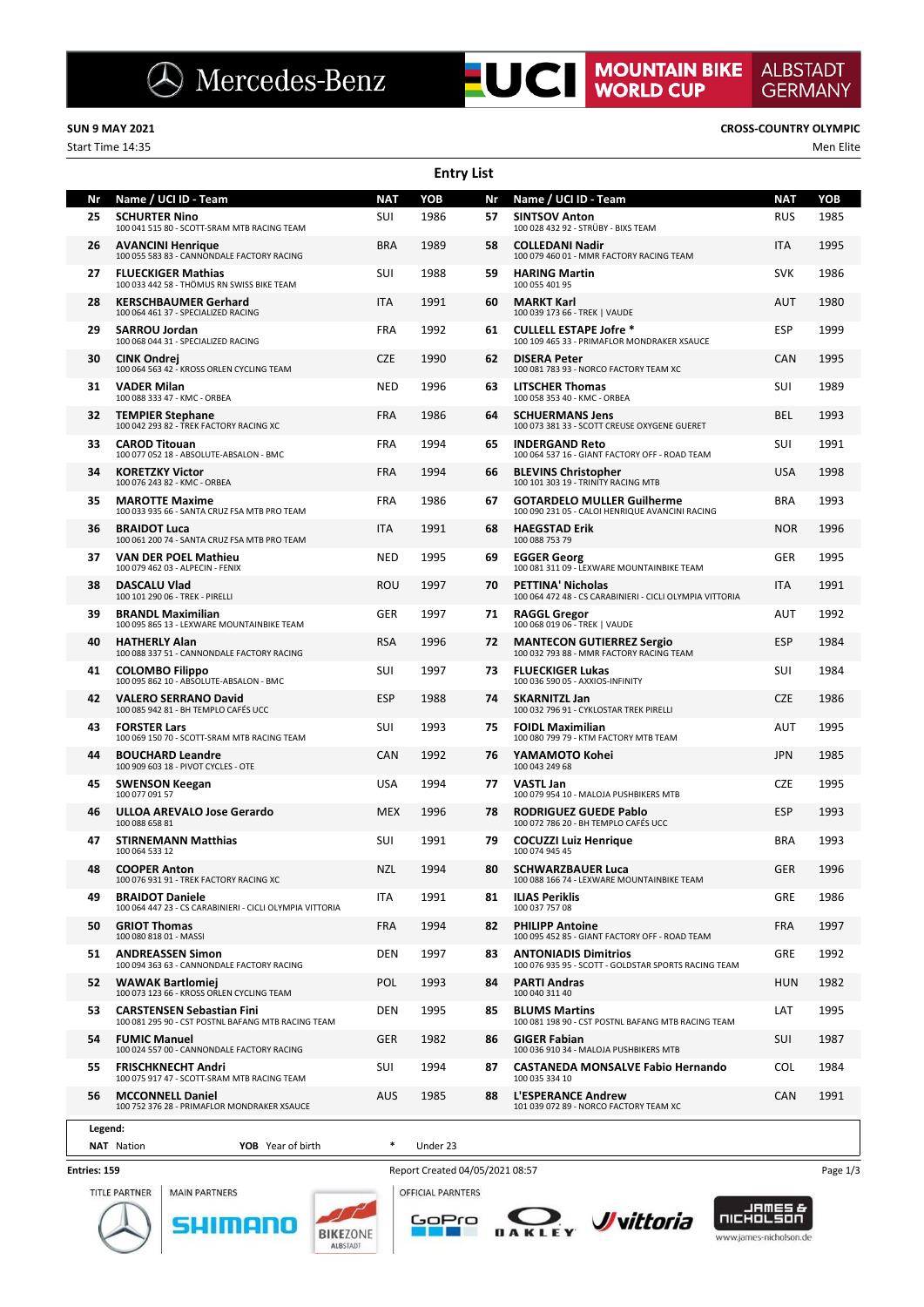**Entry List**

Start Time 14:35 Men Elite

**Nr Name / UCI ID - Team NAT YOB Nr Name / UCI ID - Team NAT YOB 25 SCHURTER Nino**<br>100 041 515 80 - SCOTT-SRAM MTB RACING TEAM<br>**11 - SAMILY STAM 26 AVANCINI Henrique** BRA 1989 100 055 583 83 - CANNONDALE FACTORY RACING **27 FLUECKIGER Mathias** SUI 1988 100 033 442 58 - THÖMUS RN SWISS BIKE TEAM **28 KERSCHBAUMER Gerhard** ITA 1991 100 064 461 37 - SPECIALIZED RACING **29 SARROU Jordan** FRA 1992 100 068 044 31 - SPECIALIZED RACING **30 CINK Ondrej CONSERVING TRANSISION CONSERVERSISION** CZE 1990 **31 VADER Milan** NED 1996 100 088 333 47 - KMC - ORBEA **32 TEMPIER Stephane** FRA 1986 100 042 293 82 - TREK FACTORY RACING XC **33 CAROD Titouan** FRA 1994<br>100 077 052 18 - ABSOLUTE-ABSALON - BMC **34 KORETZKY Victor** FRA 1994 100 076 243 82 - KMC - ORBEA **35 MAROTTE Maxime FRA** 1986 100 033 935 66 - SANTA CRUZ FSA MTB PRO TEAM **36 BRAIDOT Luca** 100 061 200 74 - SANTA CRUZ FSA MTB PRO TEAM **ITA** 1991 **37 VAN DER POEL Mathieu** NED 1995 100 079 462 03 - ALPECIN - FENIX **38 DASCALU Vlad** ROU 1997<br>100 101 290 06 - TREK - PIRELLI **39 BRANDL Maximilian** GER 1997 100 095 865 13 - LEXWARE MOUNTAINBIKE TEAM **40 HATHERLY Alan**<br>100 088 337 51 - CANNONDALE FACTORY RACING<br>**1988 - PASSILIAN DESTINATOR ALS ANTIFIES ASSENTANT 41 COLOMBO Filippo** SUI 1997 100 095 862 10 - ABSOLUTE-ABSALON - BMC **42 VALERO SERRANO David** ESP 1988 100 085 942 81 - BH TEMPLO CAFÉS UCC **43 FORSTER Lars** SUI 1993<br>100 069 150 70 - SCOTT-SRAM MTB RACING TEAM **44 BOUCHARD Leandre** CAN 1992 -<br>"I FS - OTE **45 SWENSON Keegan** USA 1994 100 077 091 57 **46 ULLOA AREVALO Jose Gerardo** MEX 1996 100 088 658 81 **47 STIRNEMANN Matthias** SUI 1991 100 064 533 12 **48 COOPER Anton** NZL 1994 100 076 931 91 - TREK FACTORY RACING XC **49 BRAIDOT Daniele** 100 17A 1991<br>100 064 447 23 - CS CARABINIERI - CICLI OLYMPIA VITTORIA **50 GRIOT Thomas** FRA 1994 100 080 818 01 - MASSI **51 ANDREASSEN Simon** DEN 1997 100 094 363 63 - CANNONDALE FACTORY RACING **52 WAWAK Bartlomiej POL** 1993<br>100 073 123 66 - KROSS ORLEN CYCLING TEAM **53 CARSTENSEN Sebastian Fini** DEN 1995 100 081 295 90 - CST POSTNL BAFANG MTB RACING TEAM **54 FUMIC Manuel GER** 1982<br>100 024 557 00 - CANNONDALE FACTORY RACING **55 FRISCHKNECHT Andri CHANGE SUI** 1994 100 075 917 47 - SCOTT-SRAM MTB RACING TEAM **56 MCCONNELL Daniel** AUS 1985 100 752 376 28 - PRIMAFLOR MONDRAKER XSAUCE **57 SINTSOV Anton**<br>100 028 432 92 - STRÜBY - BIXS TEAM **58 COLLEDANI Nadir ITA** 1995 100 079 460 01 - MMR FACTORY RACING TEAM **59 HARING Martin** SVK 1986<br>100 055 401 95 **60 MARKT Karl AUT** 1980<br>100 039 173 66 - TREK | VAUDE **61 CULLELL ESTAPE Jofre \*** ESP 1999 100 109 465 33 - PRIMAFLOR MONDRAKER XSAUCE **62 DISERA Peter** CAN 1995<br>100 081 783 93 - NORCO FACTORY TEAM XC **63 LITSCHER Thomas** SUI 1989 100 058 353 40 - KMC - ORBEA **64 SCHUERMANS Jens BEL** 1993<br>100 073 381 33 - SCOTT CREUSE OXYGENE GUERET **65 INDERGAND Reto** SUI 1991<br>100 064 537 16 - GIANT FACTORY OFF - ROAD TEAM **66 BLEVINS Christopher** USA 1998 100 101 303 19 - TRINITY RACING MTB **67 GOTARDELO MULLER Guilherme** BRA 1993 100 090 231 05 - CALOI HENRIQUE AVANCINI RACING **68 HAEGSTAD Erik NOR 1996** 100 088 753 79 **69 EGGER Georg** GER 1995 100 081 311 09 - LEXWARE MOUNTAINBIKE TEAM **70 PETTINA' Nicholas**<br>100 064 472 48 - CS CARABINIERI - CICLI OLYMPIA VITTORIA **71 RAGGL Gregor AUT** 1992 100 068 019 06 - TREK | VAUDE **72 MANTECON GUTIERREZ Sergio** ESP 1984 100 032 793 88 - MMR FACTORY RACING TEAM **73 FLUECKIGER Lukas** SUI 1984 100 036 590 05 - AXXIOS-INFINITY **74 SKARNITZL Jan**<br>100 032 796 91 - CYKLOSTAR TREK PIRELLI<br>1986 100 032 796 91 - CYKLOSTAR TREK PIRELLI **75 FOIDL Maximilian** AUT 1995 100 080 799 79 - KTM FACTORY MTB TEAM **76 YAMAMOTO Kohei** JPN 1985 100 043 249 68 **77 VASTL Jan** CZE 1995 100 079 954 10 - MALOJA PUSHBIKERS MTB **78 RODRIGUEZ GUEDE Pablo ESP** 1993 100 072 786 20 - BH TEMPLO CAFÉS UCC **79 COCUZZI Luiz Henrique** BRA 1993 100 074 945 4 **80 SCHWARZBAUER Luca GER** 1996 100 088 166 74 - LEXWARE MOUNTAINBIKE TEAM **81 ILIAS Periklis** GRE 1986 100 037 757 08 **82 PHILIPP Antoine**<br>100 095 452 85 - GIANT FACTORY OFF - ROAD TEAM **83 ANTONIADIS Dimitrios** GRE 1992 100 076 935 95 - SCOTT - GOLDSTAR SPORTS RACING TEAM **84 PARTI Andras** HUN 1982 100 040 311 40 **85 BLUMS Martins** LAT 1995 100 081 198 90 - CST POSTNL BAFANG MTB RACING TEAM **86 GIGER Fabian SUI** 1987<br>100 036 910 34 - MALOJA PUSHBIKERS MTB **87 CASTANEDA MONSALVE Fabio Hernando** COL 1984 100 035 334 10 **88 L'ESPERANCE Andrew CAN 1991** 101 039 072 89 - NORCO FACTORY TEAM XC

## **Legend:**

### **NAT** Nation **YOB** Year of birth **\*** Under 23

### **Entries: 159**





SHIMANO **BIKEZONE** 







Report Created 04/05/2021 08:57 Page 1/3

### **SUN 9 MAY 2021 CROSS-COUNTRY OLYMPIC**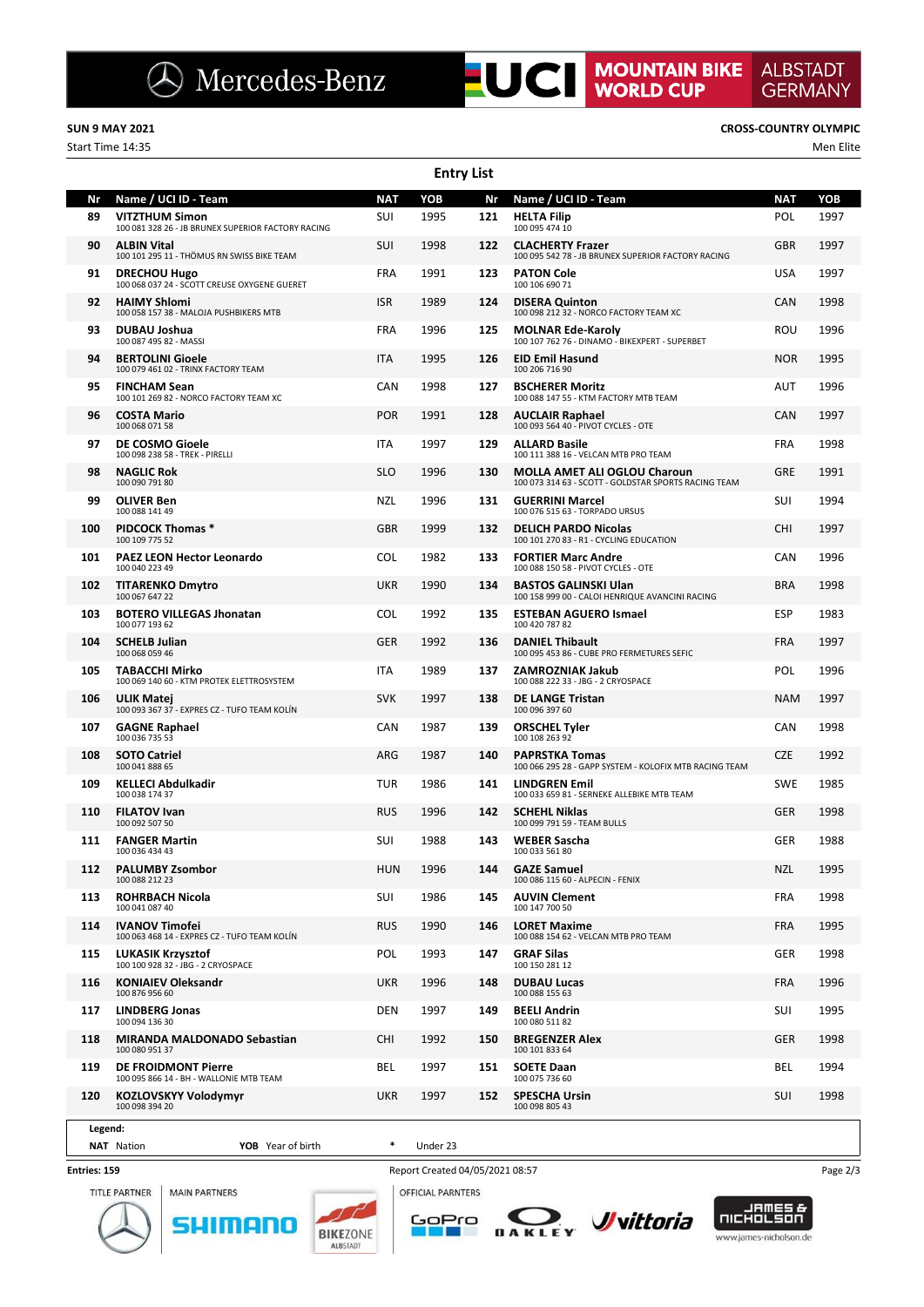Start Time 14:35 Men Elite

**ALBSTADT** 

**GERMANY** 

|          |                                                                                                     |                   | <b>Entry List</b> |           |                                                                                             |                   |             |
|----------|-----------------------------------------------------------------------------------------------------|-------------------|-------------------|-----------|---------------------------------------------------------------------------------------------|-------------------|-------------|
| Nr<br>89 | Name / UCI ID - Team<br><b>VITZTHUM Simon</b><br>100 081 328 26 - JB BRUNEX SUPERIOR FACTORY RACING | <b>NAT</b><br>SUI | YOB<br>1995       | Nr<br>121 | Name / UCI ID - Team<br><b>HELTA Filip</b><br>100 095 474 10                                | <b>NAT</b><br>POL | YOB<br>1997 |
| 90       | <b>ALBIN Vital</b><br>100 101 295 11 - THÖMUS RN SWISS BIKE TEAM                                    | SUI               | 1998              | 122       | <b>CLACHERTY Frazer</b><br>100 095 542 78 - JB BRUNEX SUPERIOR FACTORY RACING               | <b>GBR</b>        | 1997        |
| 91       | <b>DRECHOU Hugo</b><br>100 068 037 24 - SCOTT CREUSE OXYGENE GUERET                                 | <b>FRA</b>        | 1991              | 123       | <b>PATON Cole</b><br>100 106 690 71                                                         | <b>USA</b>        | 1997        |
| 92       | <b>HAIMY Shlomi</b><br>100 058 157 38 - MALOJA PUSHBIKERS MTB                                       | <b>ISR</b>        | 1989              | 124       | <b>DISERA Quinton</b><br>100 098 212 32 - NORCO FACTORY TEAM XC                             | <b>CAN</b>        | 1998        |
| 93       | <b>DUBAU Joshua</b><br>100 087 495 82 - MASSI                                                       | <b>FRA</b>        | 1996              | 125       | <b>MOLNAR Ede-Karoly</b><br>100 107 762 76 - DINAMO - BIKEXPERT - SUPERBET                  | ROU               | 1996        |
| 94       | <b>BERTOLINI Gioele</b><br>100 079 461 02 - TRINX FACTORY TEAM                                      | <b>ITA</b>        | 1995              | 126       | <b>EID Emil Hasund</b><br>100 206 716 90                                                    | <b>NOR</b>        | 1995        |
| 95       | <b>FINCHAM Sean</b><br>100 101 269 82 - NORCO FACTORY TEAM XC                                       | CAN               | 1998              | 127       | <b>BSCHERER Moritz</b><br>100 088 147 55 - KTM FACTORY MTB TEAM                             | AUT               | 1996        |
| 96       | <b>COSTA Mario</b><br>100 068 071 58                                                                | <b>POR</b>        | 1991              | 128       | <b>AUCLAIR Raphael</b><br>100 093 564 40 - PIVOT CYCLES - OTE                               | <b>CAN</b>        | 1997        |
| 97       | DE COSMO Gioele<br>100 098 238 58 - TREK - PIRELLI                                                  | <b>ITA</b>        | 1997              | 129       | <b>ALLARD Basile</b><br>100 111 388 16 - VELCAN MTB PRO TEAM                                | <b>FRA</b>        | 1998        |
| 98       | <b>NAGLIC Rok</b><br>100 090 791 80                                                                 | <b>SLO</b>        | 1996              | 130       | <b>MOLLA AMET ALI OGLOU Charoun</b><br>100 073 314 63 - SCOTT - GOLDSTAR SPORTS RACING TEAM | <b>GRE</b>        | 1991        |
| 99       | <b>OLIVER Ben</b><br>100 088 141 49                                                                 | <b>NZL</b>        | 1996              | 131       | <b>GUERRINI Marcel</b><br>100 076 515 63 - TORPADO URSUS                                    | <b>SUI</b>        | 1994        |
| 100      | <b>PIDCOCK Thomas *</b><br>100 109 775 52                                                           | GBR               | 1999              | 132       | <b>DELICH PARDO Nicolas</b><br>100 101 270 83 - R1 - CYCLING EDUCATION                      | <b>CHI</b>        | 1997        |
| 101      | <b>PAEZ LEON Hector Leonardo</b><br>100 040 223 49                                                  | <b>COL</b>        | 1982              | 133       | <b>FORTIER Marc Andre</b><br>100 088 150 58 - PIVOT CYCLES - OTE                            | CAN               | 1996        |
| 102      | <b>TITARENKO Dmytro</b><br>100 067 647 22                                                           | UKR               | 1990              | 134       | <b>BASTOS GALINSKI Ulan</b><br>100 158 999 00 - CALOI HENRIQUE AVANCINI RACING              | <b>BRA</b>        | 1998        |
| 103      | <b>BOTERO VILLEGAS Jhonatan</b><br>100 077 193 62                                                   | <b>COL</b>        | 1992              | 135       | <b>ESTEBAN AGUERO Ismael</b><br>100 420 787 82                                              | <b>ESP</b>        | 1983        |
| 104      | <b>SCHELB Julian</b><br>100 068 059 46                                                              | <b>GER</b>        | 1992              | 136       | <b>DANIEL Thibault</b><br>100 095 453 86 - CUBE PRO FERMETURES SEFIC                        | <b>FRA</b>        | 1997        |
| 105      | <b>TABACCHI Mirko</b><br>100 069 140 60 - KTM PROTEK ELETTROSYSTEM                                  | ITA               | 1989              | 137       | ZAMROZNIAK Jakub<br>100 088 222 33 - JBG - 2 CRYOSPACE                                      | <b>POL</b>        | 1996        |
| 106      | ULIK Matej<br>100 093 367 37 - EXPRES CZ - TUFO TEAM KOLÍN                                          | <b>SVK</b>        | 1997              | 138       | <b>DE LANGE Tristan</b><br>100 096 397 60                                                   | <b>NAM</b>        | 1997        |
| 107      | <b>GAGNE Raphael</b><br>100 036 735 53                                                              | CAN               | 1987              | 139       | <b>ORSCHEL Tyler</b><br>100 108 263 92                                                      | <b>CAN</b>        | 1998        |
| 108      | <b>SOTO Catriel</b><br>100 041 888 65                                                               | ARG               | 1987              | 140       | <b>PAPRSTKA Tomas</b><br>100 066 295 28 - GAPP SYSTEM - KOLOFIX MTB RACING TEAM             | <b>CZE</b>        | 1992        |
| 109      | <b>KELLECI Abdulkadir</b><br>100 038 174 37                                                         | TUR               | 1986              | 141       | <b>LINDGREN Emil</b><br>100 033 659 81 - SERNEKE ALLEBIKE MTB TEAM                          | <b>SWE</b>        | 1985        |
| 110      | <b>FILATOV Ivan</b><br>100 092 507 50                                                               | <b>RUS</b>        | 1996              | 142       | <b>SCHEHL Niklas</b><br>100 099 791 59 - TEAM BULLS                                         | <b>GER</b>        | 1998        |
| 111      | <b>FANGER Martin</b><br>100 036 434 43                                                              | SUI               | 1988              | 143       | <b>WEBER Sascha</b><br>100 033 561 80                                                       | <b>GER</b>        | 1988        |
| 112      | <b>PALUMBY Zsombor</b><br>100 088 212 23                                                            | <b>HUN</b>        | 1996              | 144       | <b>GAZE Samuel</b><br>100 086 115 60 - ALPECIN - FENIX                                      | <b>NZL</b>        | 1995        |
| 113      | <b>ROHRBACH Nicola</b><br>100 041 087 40                                                            | SUI               | 1986              | 145       | <b>AUVIN Clement</b><br>100 147 700 50                                                      | <b>FRA</b>        | 1998        |
| 114      | <b>IVANOV Timofei</b><br>100 063 468 14 - EXPRES CZ - TUFO TEAM KOLÍN                               | <b>RUS</b>        | 1990              | 146       | <b>LORET Maxime</b><br>100 088 154 62 - VELCAN MTB PRO TEAM                                 | <b>FRA</b>        | 1995        |
| 115      | LUKASIK Krzysztof<br>100 100 928 32 - JBG - 2 CRYOSPACE                                             | POL               | 1993              | 147       | <b>GRAF Silas</b><br>100 150 281 12                                                         | <b>GER</b>        | 1998        |
| 116      | <b>KONIAIEV Oleksandr</b><br>100 876 956 60                                                         | <b>UKR</b>        | 1996              | 148       | <b>DUBAU Lucas</b><br>100 088 155 63                                                        | <b>FRA</b>        | 1996        |
| 117      | <b>LINDBERG Jonas</b><br>100 094 136 30                                                             | DEN               | 1997              | 149       | <b>BEELI Andrin</b><br>100 080 511 82                                                       | SUI               | 1995        |
| 118      | <b>MIRANDA MALDONADO Sebastian</b><br>100 080 951 37                                                | CHI               | 1992              | 150       | <b>BREGENZER Alex</b><br>100 101 833 64                                                     | <b>GER</b>        | 1998        |
| 119      | DE FROIDMONT Pierre<br>100 095 866 14 - BH - WALLONIE MTB TEAM                                      | BEL               | 1997              | 151       | <b>SOETE Daan</b><br>100 075 736 60                                                         | BEL               | 1994        |
| 120      | <b>KOZLOVSKYY Volodymyr</b><br>100 098 394 20                                                       | <b>UKR</b>        | 1997              | 152       | <b>SPESCHA Ursin</b><br>100 098 805 43                                                      | SUI               | 1998        |
| Legend:  |                                                                                                     |                   |                   |           |                                                                                             |                   |             |

## **NAT** Nation **YOB** Year of birth **\*** Under 23

**Entries: 159**



51

**MAIN PARTNERS** nANO ALBSTADT





Report Created 04/05/2021 08:57 Page 2/3

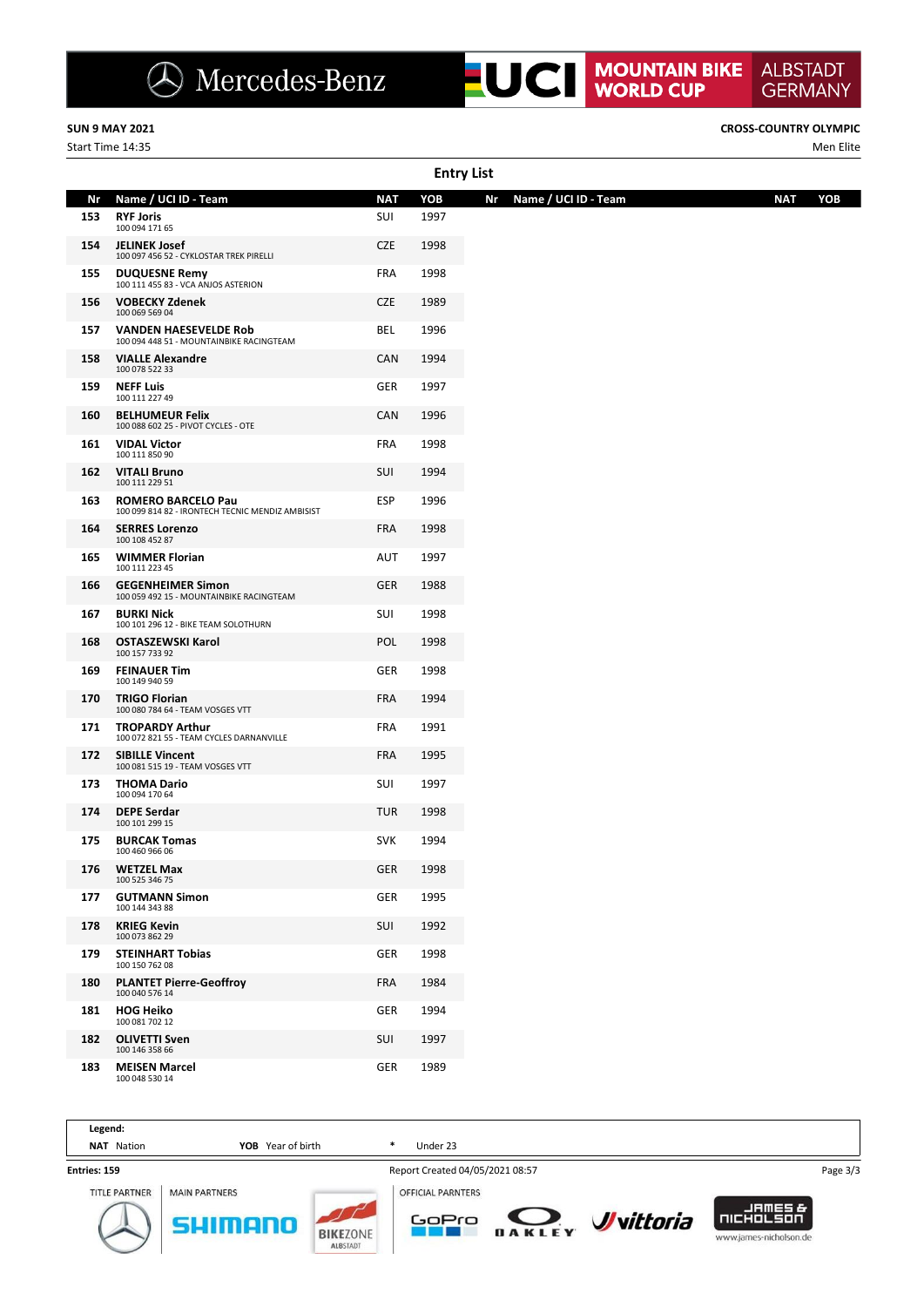Start Time 14:35 Men Elite

**SUN 9 MAY 2021 CROSS-COUNTRY OLYMPIC**

**ALBSTADT** 

|     | <b>Entry List</b>                                                             |            |      |                            |                   |  |  |  |  |  |  |  |  |
|-----|-------------------------------------------------------------------------------|------------|------|----------------------------|-------------------|--|--|--|--|--|--|--|--|
| Nr  | Name / UCI ID - Team                                                          | <b>NAT</b> | YOB  | Name / UCI ID - Team<br>Nr | YOB<br><b>NAT</b> |  |  |  |  |  |  |  |  |
| 153 | <b>RYF Joris</b><br>100 094 171 65                                            | SUI        | 1997 |                            |                   |  |  |  |  |  |  |  |  |
| 154 | <b>JELINEK Josef</b><br>100 097 456 52 - CYKLOSTAR TREK PIRELLI               | <b>CZE</b> | 1998 |                            |                   |  |  |  |  |  |  |  |  |
| 155 | <b>DUQUESNE Remy</b><br>100 111 455 83 - VCA ANJOS ASTERION                   | <b>FRA</b> | 1998 |                            |                   |  |  |  |  |  |  |  |  |
| 156 | <b>VOBECKY Zdenek</b><br>100 069 569 04                                       | <b>CZE</b> | 1989 |                            |                   |  |  |  |  |  |  |  |  |
| 157 | <b>VANDEN HAESEVELDE Rob</b><br>100 094 448 51 - MOUNTAINBIKE RACINGTEAM      | BEL        | 1996 |                            |                   |  |  |  |  |  |  |  |  |
| 158 | <b>VIALLE Alexandre</b><br>100 078 522 33                                     | CAN        | 1994 |                            |                   |  |  |  |  |  |  |  |  |
| 159 | <b>NEFF Luis</b><br>100 111 227 49                                            | GER        | 1997 |                            |                   |  |  |  |  |  |  |  |  |
| 160 | <b>BELHUMEUR Felix</b><br>100 088 602 25 - PIVOT CYCLES - OTE                 | CAN        | 1996 |                            |                   |  |  |  |  |  |  |  |  |
| 161 | <b>VIDAL Victor</b><br>100 111 850 90                                         | <b>FRA</b> | 1998 |                            |                   |  |  |  |  |  |  |  |  |
| 162 | <b>VITALI Bruno</b><br>100 111 229 51                                         | SUI        | 1994 |                            |                   |  |  |  |  |  |  |  |  |
| 163 | <b>ROMERO BARCELO Pau</b><br>100 099 814 82 - IRONTECH TECNIC MENDIZ AMBISIST | <b>ESP</b> | 1996 |                            |                   |  |  |  |  |  |  |  |  |
| 164 | <b>SERRES Lorenzo</b><br>100 108 452 87                                       | <b>FRA</b> | 1998 |                            |                   |  |  |  |  |  |  |  |  |
| 165 | <b>WIMMER Florian</b><br>100 111 223 45                                       | AUT        | 1997 |                            |                   |  |  |  |  |  |  |  |  |
| 166 | <b>GEGENHEIMER Simon</b><br>100 059 492 15 - MOUNTAINBIKE RACINGTEAM          | <b>GER</b> | 1988 |                            |                   |  |  |  |  |  |  |  |  |
| 167 | <b>BURKI Nick</b><br>100 101 296 12 - BIKE TEAM SOLOTHURN                     | SUI        | 1998 |                            |                   |  |  |  |  |  |  |  |  |
| 168 | <b>OSTASZEWSKI Karol</b><br>100 157 733 92                                    | POL        | 1998 |                            |                   |  |  |  |  |  |  |  |  |
| 169 | <b>FEINAUER Tim</b><br>100 149 940 59                                         | GER        | 1998 |                            |                   |  |  |  |  |  |  |  |  |
| 170 | <b>TRIGO Florian</b><br>100 080 784 64 - TEAM VOSGES VTT                      | <b>FRA</b> | 1994 |                            |                   |  |  |  |  |  |  |  |  |
| 171 | <b>TROPARDY Arthur</b><br>100 072 821 55 - TEAM CYCLES DARNANVILLE            | <b>FRA</b> | 1991 |                            |                   |  |  |  |  |  |  |  |  |
| 172 | <b>SIBILLE Vincent</b><br>100 081 515 19 - TEAM VOSGES VTT                    | <b>FRA</b> | 1995 |                            |                   |  |  |  |  |  |  |  |  |
| 173 | <b>THOMA Dario</b><br>100 094 170 64                                          | SUI        | 1997 |                            |                   |  |  |  |  |  |  |  |  |
| 174 | <b>DEPE Serdar</b><br>100 101 299 15                                          | <b>TUR</b> | 1998 |                            |                   |  |  |  |  |  |  |  |  |
| 175 | <b>BURCAK Tomas</b><br>100 460 966 06                                         | <b>SVK</b> | 1994 |                            |                   |  |  |  |  |  |  |  |  |
| 176 | <b>WETZEL Max</b><br>100 525 346 75                                           | <b>GER</b> | 1998 |                            |                   |  |  |  |  |  |  |  |  |
| 177 | <b>GUTMANN Simon</b><br>100 144 343 88                                        | <b>GER</b> | 1995 |                            |                   |  |  |  |  |  |  |  |  |
| 178 | <b>KRIEG Kevin</b><br>100 073 862 29                                          | SUI        | 1992 |                            |                   |  |  |  |  |  |  |  |  |
| 179 | <b>STEINHART Tobias</b><br>100 150 762 08                                     | GER        | 1998 |                            |                   |  |  |  |  |  |  |  |  |
| 180 | <b>PLANTET Pierre-Geoffroy</b><br>100 040 576 14                              | <b>FRA</b> | 1984 |                            |                   |  |  |  |  |  |  |  |  |
| 181 | <b>HOG Heiko</b><br>100 081 702 12                                            | GER        | 1994 |                            |                   |  |  |  |  |  |  |  |  |
| 182 | <b>OLIVETTI Sven</b><br>100 146 358 66                                        | SUI        | 1997 |                            |                   |  |  |  |  |  |  |  |  |
| 183 | <b>MEISEN Marcel</b><br>100 048 530 14                                        | GER        | 1989 |                            |                   |  |  |  |  |  |  |  |  |

| Legend:              |                      |                                    |                                 |        |                          |                                                        |          |
|----------------------|----------------------|------------------------------------|---------------------------------|--------|--------------------------|--------------------------------------------------------|----------|
| Nation<br><b>NAT</b> | Year of birth<br>YOB |                                    | *<br>Under 23                   |        |                          |                                                        |          |
| Entries: 159         |                      |                                    | Report Created 04/05/2021 08:57 |        |                          |                                                        | Page 3/3 |
| <b>TITLE PARTNER</b> | <b>MAIN PARTNERS</b> |                                    | <b>OFFICIAL PARNTERS</b>        |        |                          |                                                        |          |
|                      |                      | <b>BIKEZONE</b><br><b>ALBSTADT</b> | GoPro                           | DAKLEY | <b><i>J</i></b> vittoria | -EMEET-7<br><b>NICHOLSON</b><br>www.james-nicholson.de |          |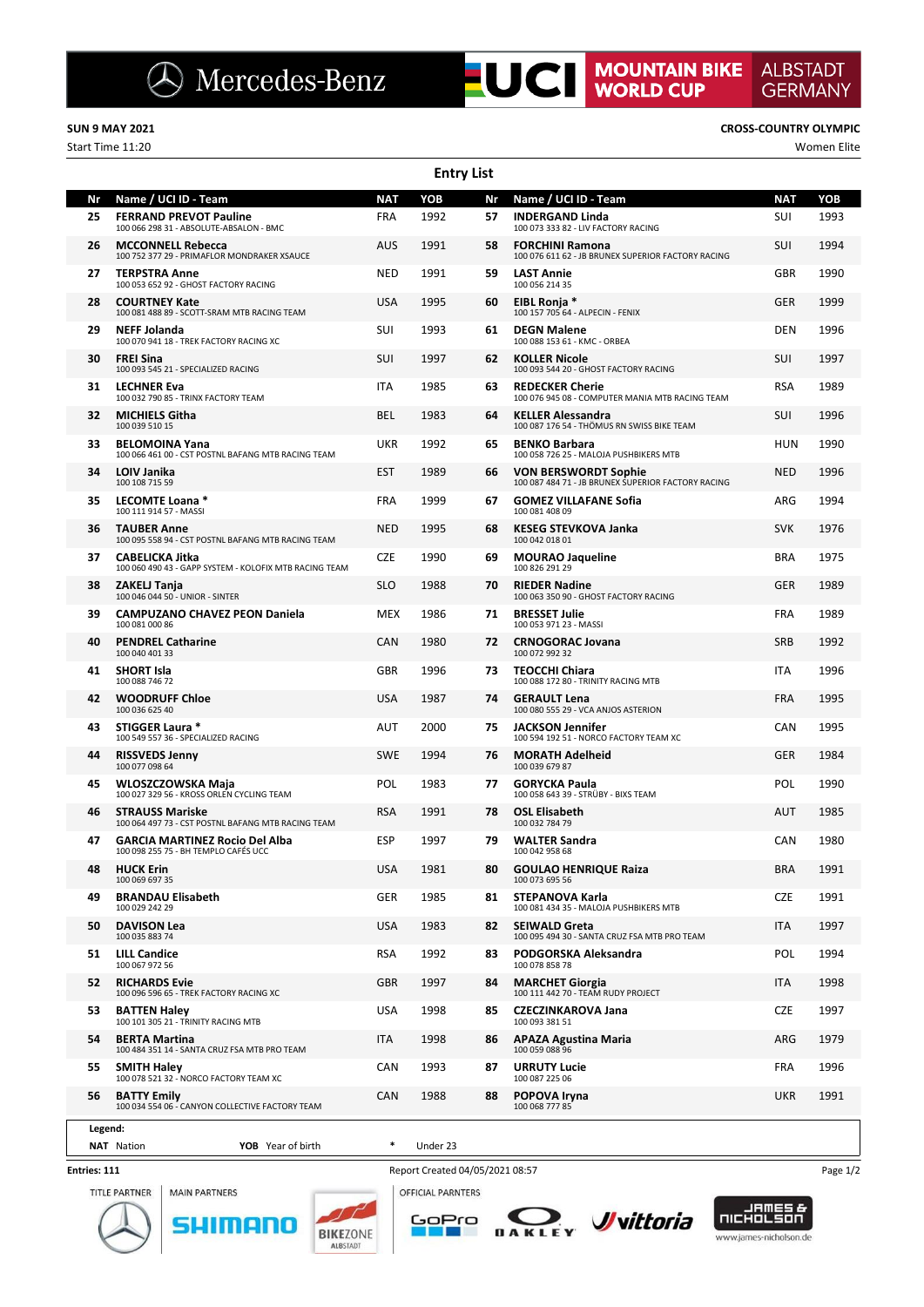### **SUN 9 MAY 2021 CROSS-COUNTRY OLYMPIC**

100 032 790 85 - TRINX FACTORY TEAM

**Entry List** Start Time 11:20 Women Elite **Nr Name / UCI ID - Team NAT YOB Nr Name / UCI ID - Team NAT YOB 25 FERRAND PREVOT Pauline** FRA 1992<br>100 066 298 31 - ABSOLUTE-ABSALON - BMC **26 MCCONNELL Rebecca** AUS 1991 100 752 377 29 - PRIMAFLOR MONDRAKER XSAUCE **27 TERPSTRA Anne** NED 1991 100 053 652 92 - GHOST FACTORY RACING **28 COURTNEY Kate** USA 1995<br>100 081 488 89 - SCOTT-SRAM MTB RACING TEAM **29 NEFF Jolanda** SUI 1993 100 070 941 18 - TREK FACTORY RACING XC **30 FREI Sina** Suite of Assemblance Control of the Suite of Assemblance Control of Assemblance Control of Assemblance Control of Assemblance Control of Assemblance Control of Assemblance Control of Assemblance Control of A **31 LECHNER Eva ITA** 1985 **32 MICHIELS Githa** BEL 1983<br>100 039 510 15 **33 BELOMOINA Yana** UKR 1992<br>100 066 461 00 - CST POSTNL BAFANG MTB RACING TEAM **57 INDERGAND Linda** SUI 1993<br>100 073 333 82 - LIV FACTORY RACING **58 FORCHINI Ramona**<br>100 076 611 62 - JB BRUNEX SUPERIOR FACTORY RACING **59 LAST Annie** GBR 1990<br>100 056 214 35 **60 EIBL Ronja \*** GER 1999 100 157 705 64 - ALPECIN - FENIX **61 DEGN Malene** 100 088 153 61 - KMC - ORBEA **62 KOLLER Nicole** SUI 1997 100 093 544 20 - GHOST FACTORY RACING **63 REDECKER Cherie RSA** 1989<br>100 076 945 08 - COMPUTER MANIA MTB RACING TEAM **64 KELLER Alessandra** SUI 1996 100 087 176 54 - THÖMUS RN SWISS BIKE TEAM **65 BENKO Barbara** HUN 1990<br>100 058 726 25 - MALOJA PUSHBIKERS MTB **66 VON BERSWORDT Sophie** NED 1996 100 087 484 71 - JB BRUNEX SUPERIOR FACTORY RACING **67 GOMEZ VILLAFANE Sofia** ARG 1994 100 081 408 09 **68 KESEG STEVKOVA Janka** SVK 1976 100 042 018 01 **69 MOURAO Jaqueline BRA** 1975 100 826 291 29 **70 RIEDER Nadine** GER 1989 100 063 350 90 - GHOST FACTORY RACING **71 BRESSET Julie Community Community Community Community Community Community Community Community Community Community Community Community Community Community Community Community Community Community Community Community Comm** 100 053 971 23 - MASSI **72 CRNOGORAC Jovana** SRB 1992 100 072 992 32 **73 TEOCCHI Chiara** ITA 1996 100 088 172 80 - TRINITY RACING MTB **74 GERAULT Lena** FRA 1995 100 080 555 29 - VCA ANJOS ASTERION **75 JACKSON Jennifer** CAN 1995 100 594 192 51 - NORCO FACTORY TEAM XC

**ALBSTADT** 

**GERMANY** 

|         | 100 066 461 00 - CST POSTNE BAFAING IVITB RACING TEAM                            |                   |            |          |    | 100 058 726 25 - MALOJA PUSHBIKERS MTB                                            |            |      |
|---------|----------------------------------------------------------------------------------|-------------------|------------|----------|----|-----------------------------------------------------------------------------------|------------|------|
| 34      | LOIV Janika<br>100 108 715 59                                                    |                   | <b>EST</b> | 1989     | 66 | <b>VON BERSWORDT Sophie</b><br>100 087 484 71 - JB BRUNEX SUPERIOR FACTORY RACING | <b>NED</b> | 1996 |
| 35      | LECOMTE Loana *<br>100 111 914 57 - MASSI                                        |                   | <b>FRA</b> | 1999     | 67 | <b>GOMEZ VILLAFANE Sofia</b><br>100 081 408 09                                    | ARG        | 1994 |
| 36      | <b>TAUBER Anne</b><br>100 095 558 94 - CST POSTNL BAFANG MTB RACING TEAM         |                   | <b>NED</b> | 1995     | 68 | <b>KESEG STEVKOVA Janka</b><br>100 042 018 01                                     | <b>SVK</b> | 1976 |
| 37      | <b>CABELICKA Jitka</b><br>100 060 490 43 - GAPP SYSTEM - KOLOFIX MTB RACING TEAM |                   | <b>CZE</b> | 1990     | 69 | <b>MOURAO Jaqueline</b><br>100 826 291 29                                         | <b>BRA</b> | 1975 |
| 38      | ZAKELJ Tanja<br>100 046 044 50 - UNIOR - SINTER                                  |                   | <b>SLO</b> | 1988     | 70 | <b>RIEDER Nadine</b><br>100 063 350 90 - GHOST FACTORY RACING                     | <b>GER</b> | 1989 |
| 39      | <b>CAMPUZANO CHAVEZ PEON Daniela</b><br>100 081 000 86                           |                   | <b>MEX</b> | 1986     | 71 | <b>BRESSET Julie</b><br>100 053 971 23 - MASSI                                    | <b>FRA</b> | 1989 |
| 40      | <b>PENDREL Catharine</b><br>100 040 401 33                                       |                   | CAN        | 1980     | 72 | <b>CRNOGORAC Jovana</b><br>100 072 992 32                                         | <b>SRB</b> | 1992 |
| 41      | <b>SHORT Isla</b><br>100 088 746 72                                              |                   | <b>GBR</b> | 1996     | 73 | <b>TEOCCHI Chiara</b><br>100 088 172 80 - TRINITY RACING MTB                      | <b>ITA</b> | 1996 |
| 42      | <b>WOODRUFF Chloe</b><br>100 036 625 40                                          |                   | <b>USA</b> | 1987     | 74 | <b>GERAULT Lena</b><br>100 080 555 29 - VCA ANJOS ASTERION                        | <b>FRA</b> | 1995 |
| 43      | STIGGER Laura *<br>100 549 557 36 - SPECIALIZED RACING                           |                   | AUT        | 2000     | 75 | <b>JACKSON Jennifer</b><br>100 594 192 51 - NORCO FACTORY TEAM XC                 | CAN        | 1995 |
| 44      | <b>RISSVEDS Jenny</b><br>100 077 098 64                                          |                   | <b>SWE</b> | 1994     | 76 | <b>MORATH Adelheid</b><br>100 039 679 87                                          | <b>GER</b> | 1984 |
| 45      | WLOSZCZOWSKA Maja<br>100 027 329 56 - KROSS ORLEN CYCLING TEAM                   |                   | POL        | 1983     | 77 | <b>GORYCKA Paula</b><br>100 058 643 39 - STRÜBY - BIXS TEAM                       | POL        | 1990 |
| 46      | <b>STRAUSS Mariske</b><br>100 064 497 73 - CST POSTNL BAFANG MTB RACING TEAM     |                   | <b>RSA</b> | 1991     | 78 | <b>OSL Elisabeth</b><br>100 032 784 79                                            | <b>AUT</b> | 1985 |
| 47      | <b>GARCIA MARTINEZ Rocio Del Alba</b><br>100 098 255 75 - BH TEMPLO CAFÉS UCC    |                   | <b>ESP</b> | 1997     | 79 | <b>WALTER Sandra</b><br>100 042 958 68                                            | CAN        | 1980 |
| 48      | <b>HUCK Erin</b><br>100 069 697 35                                               |                   | <b>USA</b> | 1981     | 80 | <b>GOULAO HENRIQUE Raiza</b><br>100 073 695 56                                    | <b>BRA</b> | 1991 |
| 49      | <b>BRANDAU Elisabeth</b><br>100 029 242 29                                       |                   | <b>GER</b> | 1985     | 81 | <b>STEPANOVA Karla</b><br>100 081 434 35 - MALOJA PUSHBIKERS MTB                  | <b>CZE</b> | 1991 |
| 50      | <b>DAVISON Lea</b><br>100 035 883 74                                             |                   | <b>USA</b> | 1983     | 82 | <b>SEIWALD Greta</b><br>100 095 494 30 - SANTA CRUZ FSA MTB PRO TEAM              | <b>ITA</b> | 1997 |
| 51      | <b>LILL Candice</b><br>100 067 972 56                                            |                   | <b>RSA</b> | 1992     | 83 | PODGORSKA Aleksandra<br>100 078 858 78                                            | POL        | 1994 |
| 52      | <b>RICHARDS Evie</b><br>100 096 596 65 - TREK FACTORY RACING XC                  |                   | <b>GBR</b> | 1997     | 84 | <b>MARCHET Giorgia</b><br>100 111 442 70 - TEAM RUDY PROJECT                      | <b>ITA</b> | 1998 |
| 53      | <b>BATTEN Haley</b><br>100 101 305 21 - TRINITY RACING MTB                       |                   | <b>USA</b> | 1998     | 85 | <b>CZECZINKAROVA Jana</b><br>100 093 381 51                                       | <b>CZE</b> | 1997 |
| 54      | <b>BERTA Martina</b><br>100 484 351 14 - SANTA CRUZ FSA MTB PRO TEAM             |                   | <b>ITA</b> | 1998     | 86 | <b>APAZA Agustina Maria</b><br>100 059 088 96                                     | ARG        | 1979 |
| 55      | <b>SMITH Haley</b><br>100 078 521 32 - NORCO FACTORY TEAM XC                     |                   | CAN        | 1993     | 87 | <b>URRUTY Lucie</b><br>100 087 225 06                                             | <b>FRA</b> | 1996 |
| 56      | <b>BATTY Emily</b><br>100 034 554 06 - CANYON COLLECTIVE FACTORY TEAM            |                   | CAN        | 1988     | 88 | <b>POPOVA Irvna</b><br>100 068 777 85                                             | <b>UKR</b> | 1991 |
| Legend: |                                                                                  |                   |            |          |    |                                                                                   |            |      |
|         | <b>NAT</b> Nation                                                                | YOB Year of birth | $\ast$     | Under 23 |    |                                                                                   |            |      |

### **Entries: 111**

**TITLE PARTNER MAIN PARTNERS** 







GoPro

T.



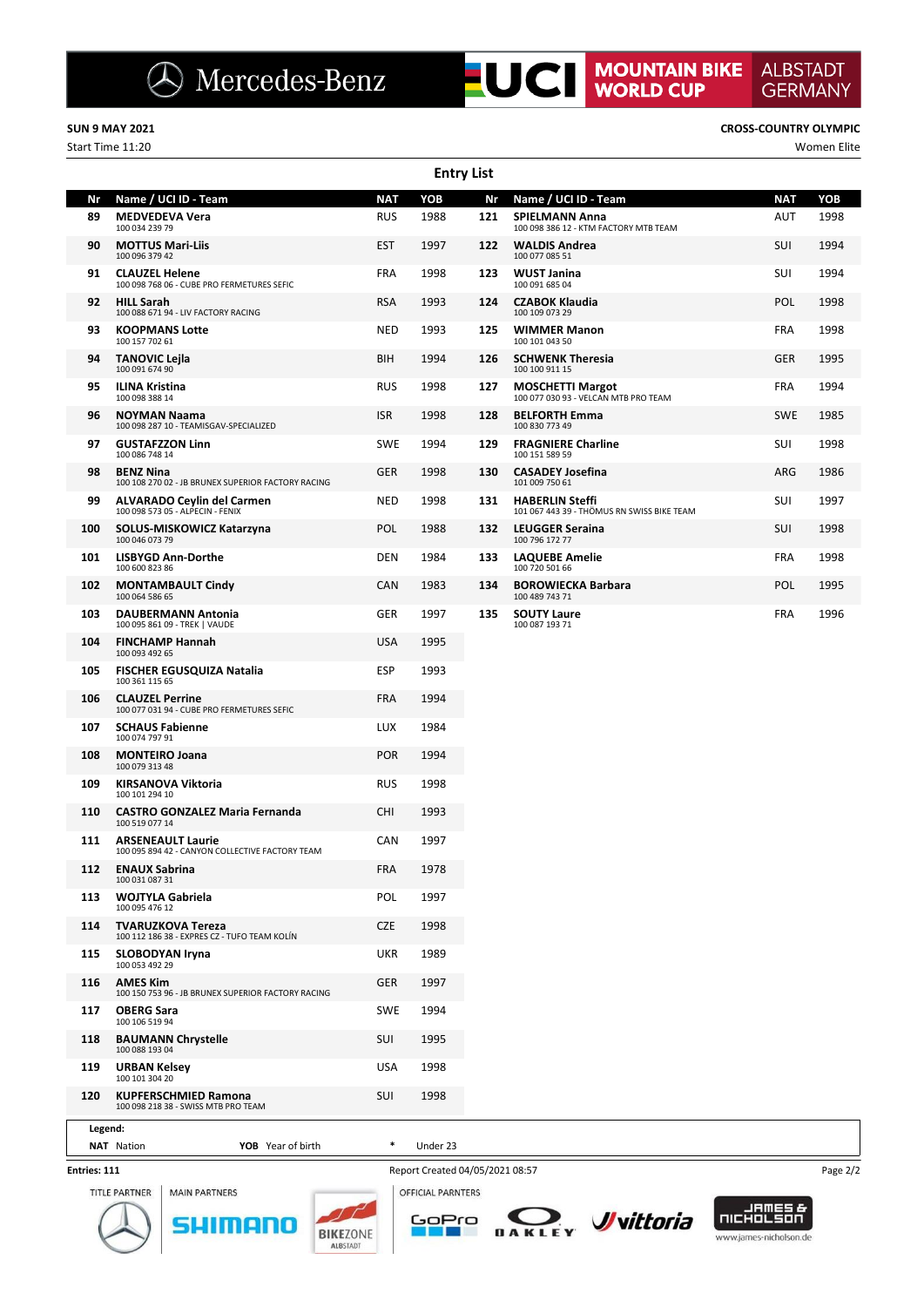Start Time 11:20 Women Elite

**ALBSTADT** 

**GERMANY** 

|         |                                                                             |            | <b>Entry List</b> |     |                                                                      |            |      |
|---------|-----------------------------------------------------------------------------|------------|-------------------|-----|----------------------------------------------------------------------|------------|------|
| Nr      | Name / UCI ID - Team                                                        | <b>NAT</b> | YOB               | Nr  | Name / UCI ID - Team                                                 | <b>NAT</b> | YOB  |
| 89      | <b>MEDVEDEVA Vera</b><br>100 034 239 79                                     | <b>RUS</b> | 1988              | 121 | <b>SPIELMANN Anna</b><br>100 098 386 12 - KTM FACTORY MTB TEAM       | AUT        | 1998 |
| 90      | <b>MOTTUS Mari-Liis</b><br>100 096 379 42                                   | <b>EST</b> | 1997              | 122 | <b>WALDIS Andrea</b><br>100 077 085 51                               | SUI        | 1994 |
| 91      | <b>CLAUZEL Helene</b><br>100 098 768 06 - CUBE PRO FERMETURES SEFIC         | <b>FRA</b> | 1998              | 123 | <b>WUST Janina</b><br>100 091 685 04                                 | <b>SUI</b> | 1994 |
| 92      | <b>HILL Sarah</b><br>100 088 671 94 - LIV FACTORY RACING                    | <b>RSA</b> | 1993              | 124 | <b>CZABOK Klaudia</b><br>100 109 073 29                              | <b>POL</b> | 1998 |
| 93      | <b>KOOPMANS Lotte</b><br>100 157 702 61                                     | <b>NED</b> | 1993              | 125 | <b>WIMMER Manon</b><br>100 101 043 50                                | <b>FRA</b> | 1998 |
| 94      | <b>TANOVIC Lejla</b><br>100 091 674 90                                      | BIH        | 1994              | 126 | <b>SCHWENK Theresia</b><br>100 100 911 15                            | <b>GER</b> | 1995 |
| 95      | <b>ILINA Kristina</b><br>100 098 388 14                                     | <b>RUS</b> | 1998              | 127 | <b>MOSCHETTI Margot</b><br>100 077 030 93 - VELCAN MTB PRO TEAM      | <b>FRA</b> | 1994 |
| 96      | <b>NOYMAN Naama</b><br>100 098 287 10 - TEAMISGAV-SPECIALIZED               | <b>ISR</b> | 1998              | 128 | <b>BELFORTH Emma</b><br>100 830 773 49                               | <b>SWE</b> | 1985 |
| 97      | <b>GUSTAFZZON Linn</b><br>100 086 748 14                                    | <b>SWE</b> | 1994              | 129 | <b>FRAGNIERE Charline</b><br>100 151 589 59                          | SUI        | 1998 |
| 98      | <b>BENZ Nina</b><br>100 108 270 02 - JB BRUNEX SUPERIOR FACTORY RACING      | <b>GER</b> | 1998              | 130 | <b>CASADEY Josefina</b><br>101 009 750 61                            | ARG        | 1986 |
| 99      | ALVARADO Ceylin del Carmen<br>100 098 573 05 - ALPECIN - FENIX              | <b>NED</b> | 1998              | 131 | <b>HABERLIN Steffi</b><br>101 067 443 39 - THÖMUS RN SWISS BIKE TEAM | SUI        | 1997 |
| 100     | SOLUS-MISKOWICZ Katarzyna<br>100 046 073 79                                 | <b>POL</b> | 1988              | 132 | <b>LEUGGER Seraina</b><br>100 796 172 77                             | SUI        | 1998 |
| 101     | <b>LISBYGD Ann-Dorthe</b><br>100 600 823 86                                 | <b>DEN</b> | 1984              | 133 | <b>LAQUEBE Amelie</b><br>100 720 501 66                              | <b>FRA</b> | 1998 |
| 102     | <b>MONTAMBAULT Cindy</b><br>100 064 586 65                                  | <b>CAN</b> | 1983              | 134 | <b>BOROWIECKA Barbara</b><br>100 489 743 71                          | <b>POL</b> | 1995 |
| 103     | <b>DAUBERMANN Antonia</b><br>100 095 861 09 - TREK   VAUDE                  | <b>GER</b> | 1997              | 135 | <b>SOUTY Laure</b><br>100 087 193 71                                 | <b>FRA</b> | 1996 |
| 104     | <b>FINCHAMP Hannah</b><br>100 093 492 65                                    | <b>USA</b> | 1995              |     |                                                                      |            |      |
| 105     | <b>FISCHER EGUSQUIZA Natalia</b><br>100 361 115 65                          | <b>ESP</b> | 1993              |     |                                                                      |            |      |
| 106     | <b>CLAUZEL Perrine</b><br>100 077 031 94 - CUBE PRO FERMETURES SEFIC        | <b>FRA</b> | 1994              |     |                                                                      |            |      |
| 107     | <b>SCHAUS Fabienne</b><br>100 074 797 91                                    | <b>LUX</b> | 1984              |     |                                                                      |            |      |
| 108     | <b>MONTEIRO Joana</b><br>100 079 313 48                                     | <b>POR</b> | 1994              |     |                                                                      |            |      |
| 109     | <b>KIRSANOVA Viktoria</b><br>100 101 294 10                                 | <b>RUS</b> | 1998              |     |                                                                      |            |      |
| 110     | <b>CASTRO GONZALEZ Maria Fernanda</b><br>100 519 077 14                     | <b>CHI</b> | 1993              |     |                                                                      |            |      |
| 111     | <b>ARSENEAULT Laurie</b><br>100 095 894 42 - CANYON COLLECTIVE FACTORY TEAM | CAN        | 1997              |     |                                                                      |            |      |
| 112     | <b>ENAUX Sabrina</b><br>100 031 087 31                                      | <b>FRA</b> | 1978              |     |                                                                      |            |      |
| 113     | <b>WOJTYLA Gabriela</b><br>100 095 476 12                                   | POL        | 1997              |     |                                                                      |            |      |
| 114     | <b>TVARUZKOVA Tereza</b><br>100 112 186 38 - EXPRES CZ - TUFO TEAM KOLÍN    | <b>CZE</b> | 1998              |     |                                                                      |            |      |
| 115     | <b>SLOBODYAN Iryna</b><br>100 053 492 29                                    | <b>UKR</b> | 1989              |     |                                                                      |            |      |
| 116     | <b>AMES Kim</b><br>100 150 753 96 - JB BRUNEX SUPERIOR FACTORY RACING       | <b>GER</b> | 1997              |     |                                                                      |            |      |
| 117     | <b>OBERG Sara</b><br>100 106 519 94                                         | SWE        | 1994              |     |                                                                      |            |      |
| 118     | <b>BAUMANN Chrystelle</b><br>100 088 193 04                                 | SUI        | 1995              |     |                                                                      |            |      |
| 119     | <b>URBAN Kelsey</b><br>100 101 304 20                                       | <b>USA</b> | 1998              |     |                                                                      |            |      |
| 120     | <b>KUPFERSCHMIED Ramona</b><br>100 098 218 38 - SWISS MTB PRO TEAM          | SUI        | 1998              |     |                                                                      |            |      |
| Legend: |                                                                             |            |                   |     |                                                                      |            |      |
|         | YOB Year of birth<br><b>NAT</b> Nation                                      |            | Under 23          |     |                                                                      |            |      |

### **Entries: 111**



Report Created 04/05/2021 08:57 Page 2/2 OFFICIAL PARNTERS



**BIKEZONE** 

**ALBSTAD** 



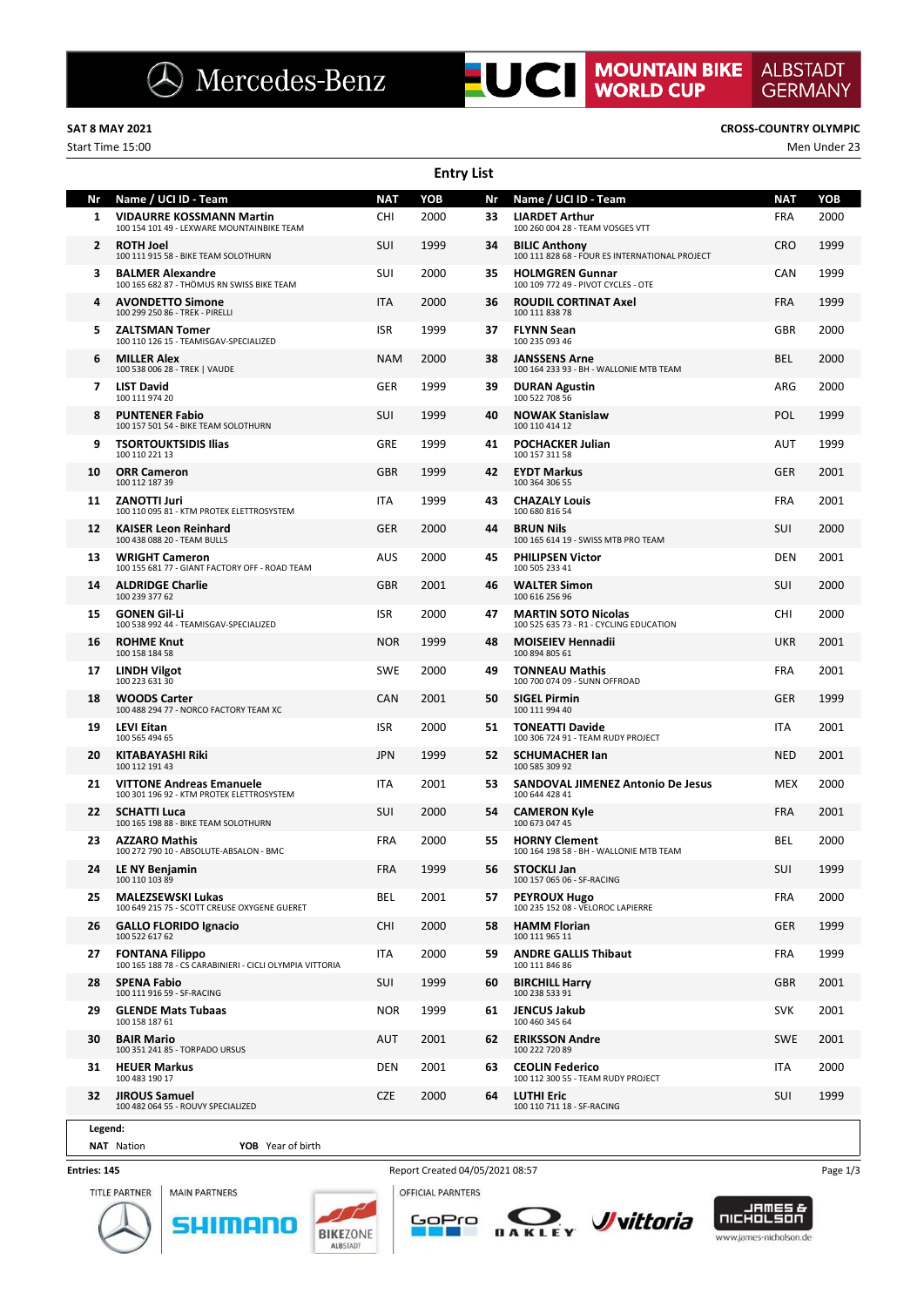Start Time 15:00 Men Under 23

ı

**ALBSTADT** 

**GERMANY** 

|              |                                                                                                       |                   | <b>Entry List</b> |          |                                                                                   |                          |             |
|--------------|-------------------------------------------------------------------------------------------------------|-------------------|-------------------|----------|-----------------------------------------------------------------------------------|--------------------------|-------------|
| Nr<br>1      | Name / UCI ID - Team<br><b>VIDAURRE KOSSMANN Martin</b><br>100 154 101 49 - LEXWARE MOUNTAINBIKE TEAM | <b>NAT</b><br>CHI | YOB<br>2000       | Nr<br>33 | Name / UCI ID - Team<br><b>LIARDET Arthur</b><br>100 260 004 28 - TEAM VOSGES VTT | <b>NAT</b><br><b>FRA</b> | YOB<br>2000 |
| $\mathbf{2}$ | <b>ROTH Joel</b><br>100 111 915 58 - BIKE TEAM SOLOTHURN                                              | SUI               | 1999              | 34       | <b>BILIC Anthony</b><br>100 111 828 68 - FOUR ES INTERNATIONAL PROJECT            | <b>CRO</b>               | 1999        |
| 3            | <b>BALMER Alexandre</b><br>100 165 682 87 - THÖMUS RN SWISS BIKE TEAM                                 | <b>SUI</b>        | 2000              | 35       | <b>HOLMGREN Gunnar</b><br>100 109 772 49 - PIVOT CYCLES - OTE                     | <b>CAN</b>               | 1999        |
|              | <b>AVONDETTO Simone</b><br>100 299 250 86 - TREK - PIRELLI                                            | <b>ITA</b>        | 2000              | 36       | <b>ROUDIL CORTINAT Axel</b><br>100 111 838 78                                     | <b>FRA</b>               | 1999        |
| 5            | <b>ZALTSMAN Tomer</b><br>100 110 126 15 - TEAMISGAV-SPECIALIZED                                       | <b>ISR</b>        | 1999              | 37       | <b>FLYNN Sean</b><br>100 235 093 46                                               | <b>GBR</b>               | 2000        |
| 6            | <b>MILLER Alex</b><br>100 538 006 28 - TREK   VAUDE                                                   | NAM               | 2000              | 38       | <b>JANSSENS Arne</b><br>100 164 233 93 - BH - WALLONIE MTB TEAM                   | BEL                      | 2000        |
| 7            | <b>LIST David</b><br>100 111 974 20                                                                   | GER               | 1999              | 39       | <b>DURAN Agustin</b><br>100 522 708 56                                            | ARG                      | 2000        |
| 8            | <b>PUNTENER Fabio</b><br>100 157 501 54 - BIKE TEAM SOLOTHURN                                         | SUI               | 1999              | 40       | <b>NOWAK Stanislaw</b><br>100 110 414 12                                          | <b>POL</b>               | 1999        |
| 9            | <b>TSORTOUKTSIDIS Ilias</b><br>100 110 221 13                                                         | GRE               | 1999              | 41       | <b>POCHACKER Julian</b><br>100 157 311 58                                         | <b>AUT</b>               | 1999        |
| 10           | <b>ORR Cameron</b><br>100 112 187 39                                                                  | <b>GBR</b>        | 1999              | 42       | <b>EYDT Markus</b><br>100 364 306 55                                              | <b>GER</b>               | 2001        |
| 11           | <b>ZANOTTI Juri</b><br>100 110 095 81 - KTM PROTEK ELETTROSYSTEM                                      | <b>ITA</b>        | 1999              | 43       | <b>CHAZALY Louis</b><br>100 680 816 54                                            | <b>FRA</b>               | 2001        |
| 12           | <b>KAISER Leon Reinhard</b><br>100 438 088 20 - TEAM BULLS                                            | GER               | 2000              | 44       | <b>BRUN Nils</b><br>100 165 614 19 - SWISS MTB PRO TEAM                           | SUI                      | 2000        |
| 13           | <b>WRIGHT Cameron</b><br>100 155 681 77 - GIANT FACTORY OFF - ROAD TEAM                               | AUS               | 2000              | 45       | <b>PHILIPSEN Victor</b><br>100 505 233 41                                         | <b>DEN</b>               | 2001        |
| 14           | <b>ALDRIDGE Charlie</b><br>100 239 377 62                                                             | <b>GBR</b>        | 2001              | 46       | <b>WALTER Simon</b><br>100 616 256 96                                             | SUI                      | 2000        |
| 15           | <b>GONEN Gil Li</b><br>100 538 992 44 - TEAMISGAV-SPECIALIZED                                         | <b>ISR</b>        | 2000              | 47       | <b>MARTIN SOTO Nicolas</b><br>100 525 635 73 - R1 - CYCLING EDUCATION             | <b>CHI</b>               | 2000        |
| 16           | <b>ROHME Knut</b><br>100 158 184 58                                                                   | <b>NOR</b>        | 1999              | 48       | <b>MOISEIEV Hennadii</b><br>100 894 805 61                                        | <b>UKR</b>               | 2001        |
| 17           | <b>LINDH Vilgot</b><br>100 223 631 30                                                                 | <b>SWE</b>        | 2000              | 49       | <b>TONNEAU Mathis</b><br>100 700 074 09 - SUNN OFFROAD                            | <b>FRA</b>               | 2001        |
| 18           | <b>WOODS Carter</b><br>100 488 294 77 - NORCO FACTORY TEAM XC                                         | CAN               | 2001              | 50       | <b>SIGEL Pirmin</b><br>100 111 994 40                                             | <b>GER</b>               | 1999        |
| 19           | <b>LEVI Eitan</b><br>100 565 494 65                                                                   | <b>ISR</b>        | 2000              | 51       | <b>TONEATTI Davide</b><br>100 306 724 91 - TEAM RUDY PROJECT                      | <b>ITA</b>               | 2001        |
| 20           | <b>KITABAYASHI Riki</b><br>100 112 191 43                                                             | <b>JPN</b>        | 1999              | 52       | <b>SCHUMACHER lan</b><br>100 585 309 92                                           | <b>NED</b>               | 2001        |
| 21           | <b>VITTONE Andreas Emanuele</b><br>100 301 196 92 - KTM PROTEK ELETTROSYSTEM                          | <b>ITA</b>        | 2001              | 53       | <b>SANDOVAL JIMENEZ Antonio De Jesus</b><br>100 644 428 41                        | <b>MEX</b>               | 2000        |
| 22           | <b>SCHATTI Luca</b><br>100 165 198 88 - BIKE TEAM SOLOTHURN                                           | SUI               | 2000              | 54       | <b>CAMERON Kyle</b><br>100 673 047 45                                             | <b>FRA</b>               | 2001        |
| 23           | <b>AZZARO Mathis</b><br>100 272 790 10 - ABSOLUTE-ABSALON - BMC                                       | <b>FRA</b>        | 2000              | 55       | <b>HORNY Clement</b><br>100 164 198 58 - BH - WALLONIE MTB TEAM                   | <b>BEL</b>               | 2000        |
| 24           | LE NY Benjamin<br>100 110 103 89                                                                      | FRA               | 1999              | 56       | <b>STOCKLI Jan</b><br>100 157 065 06 - SF-RACING                                  | SUI                      | 1999        |
| 25           | <b>MALEZSEWSKI Lukas</b><br>100 649 215 75 - SCOTT CREUSE OXYGENE GUERET                              | BEL               | 2001              | 57       | <b>PEYROUX Hugo</b><br>100 235 152 08 - VELOROC LAPIERRE                          | <b>FRA</b>               | 2000        |
| 26           | <b>GALLO FLORIDO Ignacio</b><br>100 522 617 62                                                        | <b>CHI</b>        | 2000              | 58       | <b>HAMM Florian</b><br>100 111 965 11                                             | <b>GER</b>               | 1999        |
| 27           | <b>FONTANA Filippo</b><br>100 165 188 78 - CS CARABINIERI - CICLI OLYMPIA VITTORIA                    | <b>ITA</b>        | 2000              | 59       | <b>ANDRE GALLIS Thibaut</b><br>100 111 846 86                                     | <b>FRA</b>               | 1999        |
| 28           | <b>SPENA Fabio</b><br>100 111 916 59 - SF-RACING                                                      | SUI               | 1999              | 60       | <b>BIRCHILL Harry</b><br>100 238 533 91                                           | <b>GBR</b>               | 2001        |
| 29           | <b>GLENDE Mats Tubaas</b><br>100 158 187 61                                                           | <b>NOR</b>        | 1999              | 61       | <b>JENCUS Jakub</b><br>100 460 345 64                                             | <b>SVK</b>               | 2001        |
| 30           | <b>BAIR Mario</b><br>100 351 241 85 - TORPADO URSUS                                                   | AUT               | 2001              | 62       | <b>ERIKSSON Andre</b><br>100 222 720 89                                           | <b>SWE</b>               | 2001        |
| 31           | <b>HEUER Markus</b><br>100 483 190 17                                                                 | DEN               | 2001              | 63       | <b>CEOLIN Federico</b><br>100 112 300 55 - TEAM RUDY PROJECT                      | ITA                      | 2000        |
| 32           | <b>JIROUS Samuel</b><br>100 482 064 55 - ROUVY SPECIALIZED                                            | <b>CZE</b>        | 2000              | 64       | <b>LUTHI Eric</b><br>100 110 711 18 - SF-RACING                                   | SUI                      | 1999        |
|              |                                                                                                       |                   |                   |          |                                                                                   |                          |             |

## **Legend:**

**NAT** Nation **YOB** Year of birth

51

### **Entries: 145**







OFFICIAL PARNTERS





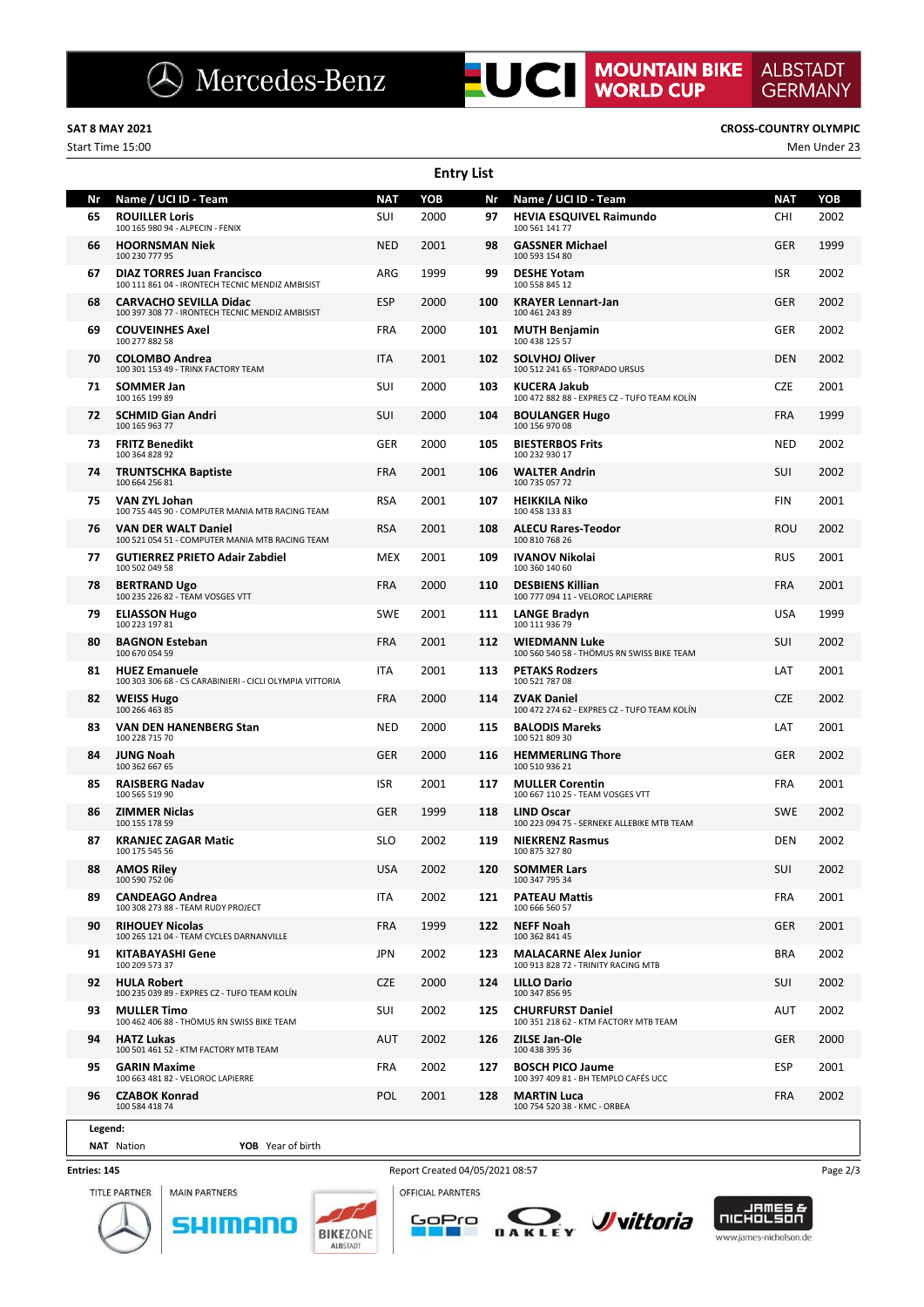## **SAT 8 MAY 2021 CROSS-COUNTRY OLYMPIC**

Start Time 15:00 Men Under 23

|    | <b>Entry List</b>                                                                     |            |      |     |                                                                     |            |      |  |  |  |  |  |  |
|----|---------------------------------------------------------------------------------------|------------|------|-----|---------------------------------------------------------------------|------------|------|--|--|--|--|--|--|
| Nr | Name / UCI ID - Team                                                                  | <b>NAT</b> | YOB  | Nr  | Name / UCI ID - Team                                                | <b>NAT</b> | YOB  |  |  |  |  |  |  |
| 65 | <b>ROUILLER Loris</b><br>100 165 980 94 - ALPECIN - FENIX                             | SUI        | 2000 | 97  | <b>HEVIA ESQUIVEL Raimundo</b><br>100 561 141 77                    | CHI        | 2002 |  |  |  |  |  |  |
| 66 | <b>HOORNSMAN Niek</b><br>100 230 777 95                                               | NED        | 2001 | 98  | <b>GASSNER Michael</b><br>100 593 154 80                            | GER        | 1999 |  |  |  |  |  |  |
| 67 | <b>DIAZ TORRES Juan Francisco</b><br>100 111 861 04 - IRONTECH TECNIC MENDIZ AMBISIST | ARG        | 1999 | 99  | <b>DESHE Yotam</b><br>100 558 845 12                                | <b>ISR</b> | 2002 |  |  |  |  |  |  |
| 68 | <b>CARVACHO SEVILLA Didac</b><br>100 397 308 77 - IRONTECH TECNIC MENDIZ AMBISIST     | ESP        | 2000 | 100 | <b>KRAYER Lennart-Jan</b><br>100 461 243 89                         | GER        | 2002 |  |  |  |  |  |  |
| 69 | <b>COUVEINHES Axel</b><br>100 277 882 58                                              | <b>FRA</b> | 2000 | 101 | <b>MUTH Benjamin</b><br>100 438 125 57                              | GER        | 2002 |  |  |  |  |  |  |
| 70 | <b>COLOMBO Andrea</b><br>100 301 153 49 - TRINX FACTORY TEAM                          | <b>ITA</b> | 2001 | 102 | <b>SOLVHOJ Oliver</b><br>100 512 241 65 - TORPADO URSUS             | DEN        | 2002 |  |  |  |  |  |  |
| 71 | <b>SOMMER Jan</b><br>100 165 199 89                                                   | SUI        | 2000 | 103 | <b>KUCERA Jakub</b><br>100 472 882 88 - EXPRES CZ - TUFO TEAM KOLÍN | <b>CZE</b> | 2001 |  |  |  |  |  |  |
| 72 | <b>SCHMID Gian Andri</b><br>100 165 963 77                                            | <b>SUI</b> | 2000 | 104 | <b>BOULANGER Hugo</b><br>100 156 970 08                             | <b>FRA</b> | 1999 |  |  |  |  |  |  |
| 73 | <b>FRITZ Benedikt</b><br>100 364 828 92                                               | GER        | 2000 | 105 | <b>BIESTERBOS Frits</b><br>100 232 930 17                           | <b>NED</b> | 2002 |  |  |  |  |  |  |
| 74 | <b>TRUNTSCHKA Baptiste</b><br>100 664 256 81                                          | <b>FRA</b> | 2001 | 106 | <b>WALTER Andrin</b><br>100 735 057 72                              | SUI        | 2002 |  |  |  |  |  |  |
| 75 | VAN ZYL Johan<br>100 755 445 90 - COMPUTER MANIA MTB RACING TEAM                      | <b>RSA</b> | 2001 | 107 | <b>HEIKKILA Niko</b><br>100 458 133 83                              | <b>FIN</b> | 2001 |  |  |  |  |  |  |
| 76 | <b>VAN DER WALT Daniel</b><br>100 521 054 51 - COMPUTER MANIA MTB RACING TEAM         | <b>RSA</b> | 2001 | 108 | <b>ALECU Rares-Teodor</b><br>100 810 768 26                         | ROU        | 2002 |  |  |  |  |  |  |
| 77 | <b>GUTIERREZ PRIETO Adair Zabdiel</b><br>100 502 049 58                               | MEX        | 2001 | 109 | <b>IVANOV Nikolai</b><br>100 360 140 60                             | RUS        | 2001 |  |  |  |  |  |  |
| 78 | <b>BERTRAND Ugo</b><br>100 235 226 82 - TEAM VOSGES VTT                               | <b>FRA</b> | 2000 | 110 | <b>DESBIENS Killian</b><br>100 777 094 11 - VELOROC LAPIERRE        | <b>FRA</b> | 2001 |  |  |  |  |  |  |
| 79 | <b>ELIASSON Hugo</b><br>100 223 197 81                                                | <b>SWE</b> | 2001 | 111 | <b>LANGE Bradyn</b><br>100 111 936 79                               | USA        | 1999 |  |  |  |  |  |  |
| 80 | <b>BAGNON Esteban</b><br>100 670 054 59                                               | <b>FRA</b> | 2001 | 112 | <b>WIEDMANN Luke</b><br>100 560 540 58 - THÖMUS RN SWISS BIKE TEAM  | SUI        | 2002 |  |  |  |  |  |  |
| 81 | <b>HUEZ Emanuele</b><br>100 303 306 68 - CS CARABINIERI - CICLI OLYMPIA VITTORIA      | ITA        | 2001 | 113 | <b>PETAKS Rodzers</b><br>100 521 787 08                             | LAT        | 2001 |  |  |  |  |  |  |
| 82 | <b>WEISS Hugo</b><br>100 266 463 85                                                   | <b>FRA</b> | 2000 | 114 | <b>ZVAK Daniel</b><br>100 472 274 62 - EXPRES CZ - TUFO TEAM KOLÍN  | <b>CZE</b> | 2002 |  |  |  |  |  |  |
| 83 | <b>VAN DEN HANENBERG Stan</b><br>100 228 715 70                                       | <b>NED</b> | 2000 | 115 | <b>BALODIS Mareks</b><br>100 521 809 30                             | LAT        | 2001 |  |  |  |  |  |  |
| 84 | <b>JUNG Noah</b><br>100 362 667 65                                                    | <b>GER</b> | 2000 | 116 | <b>HEMMERLING Thore</b><br>100 510 936 21                           | <b>GER</b> | 2002 |  |  |  |  |  |  |
| 85 | <b>RAISBERG Nadav</b><br>100 565 519 90                                               | <b>ISR</b> | 2001 | 117 | <b>MULLER Corentin</b><br>100 667 110 25 - TEAM VOSGES VTT          | <b>FRA</b> | 2001 |  |  |  |  |  |  |
| 86 | <b>ZIMMER Niclas</b><br>100 155 178 59                                                | <b>GER</b> | 1999 | 118 | <b>LIND Oscar</b><br>100 223 094 75 - SERNEKE ALLEBIKE MTB TEAM     | <b>SWE</b> | 2002 |  |  |  |  |  |  |
| 87 | <b>KRANJEC ZAGAR Matic</b><br>100 175 545 56                                          | <b>SLO</b> | 2002 | 119 | <b>NIEKRENZ Rasmus</b><br>100 875 327 80                            | DEN        | 2002 |  |  |  |  |  |  |
| 88 | <b>AMOS Riley</b><br>100 590 752 06                                                   | <b>USA</b> | 2002 | 120 | <b>SOMMER Lars</b><br>100 347 795 34                                | SUI        | 2002 |  |  |  |  |  |  |
| 89 | <b>CANDEAGO Andrea</b><br>100 308 273 88 - TEAM RUDY PROJECT                          | <b>ITA</b> | 2002 | 121 | <b>PATEAU Mattis</b><br>100 666 560 57                              | <b>FRA</b> | 2001 |  |  |  |  |  |  |
| 90 | <b>RIHOUEY Nicolas</b><br>100 265 121 04 - TEAM CYCLES DARNANVILLE                    | <b>FRA</b> | 1999 | 122 | <b>NEFF Noah</b><br>100 362 841 45                                  | GER        | 2001 |  |  |  |  |  |  |
| 91 | KITABAYASHI Gene<br>100 209 573 37                                                    | JPN        | 2002 | 123 | <b>MALACARNE Alex Junior</b><br>100 913 828 72 - TRINITY RACING MTB | <b>BRA</b> | 2002 |  |  |  |  |  |  |
| 92 | HULA Robert<br>100 235 039 89 - EXPRES CZ - TUFO TEAM KOLÍN                           | <b>CZE</b> | 2000 | 124 | <b>LILLO Dario</b><br>100 347 856 95                                | SUI        | 2002 |  |  |  |  |  |  |
| 93 | <b>MULLER Timo</b><br>100 462 406 88 - THÖMUS RN SWISS BIKE TEAM                      | <b>SUI</b> | 2002 | 125 | <b>CHURFURST Daniel</b><br>100 351 218 62 - KTM FACTORY MTB TEAM    | AUT        | 2002 |  |  |  |  |  |  |
| 94 | <b>HATZ Lukas</b><br>100 501 461 52 - KTM FACTORY MTB TEAM                            | AUT        | 2002 | 126 | ZILSE Jan-Ole<br>100 438 395 36                                     | GER        | 2000 |  |  |  |  |  |  |
| 95 | <b>GARIN Maxime</b><br>100 663 481 82 - VELOROC LAPIERRE                              | <b>FRA</b> | 2002 | 127 | <b>BOSCH PICO Jaume</b><br>100 397 409 81 - BH TEMPLO CAFÉS UCC     | <b>ESP</b> | 2001 |  |  |  |  |  |  |
| 96 | <b>CZABOK Konrad</b><br>100 584 418 74                                                | <b>POL</b> | 2001 | 128 | <b>MARTIN Luca</b><br>100 754 520 38 - KMC - ORBEA                  | FRA        | 2002 |  |  |  |  |  |  |
|    |                                                                                       |            |      |     |                                                                     |            |      |  |  |  |  |  |  |

## **Legend:**

### **NAT** Nation **YOB** Year of birth

### **Entries: 145**



**MAIN PARTNERS** SHIMANO ALBSTADT



п





Report Created 04/05/2021 08:57 Page 2/3

**ALBSTADT**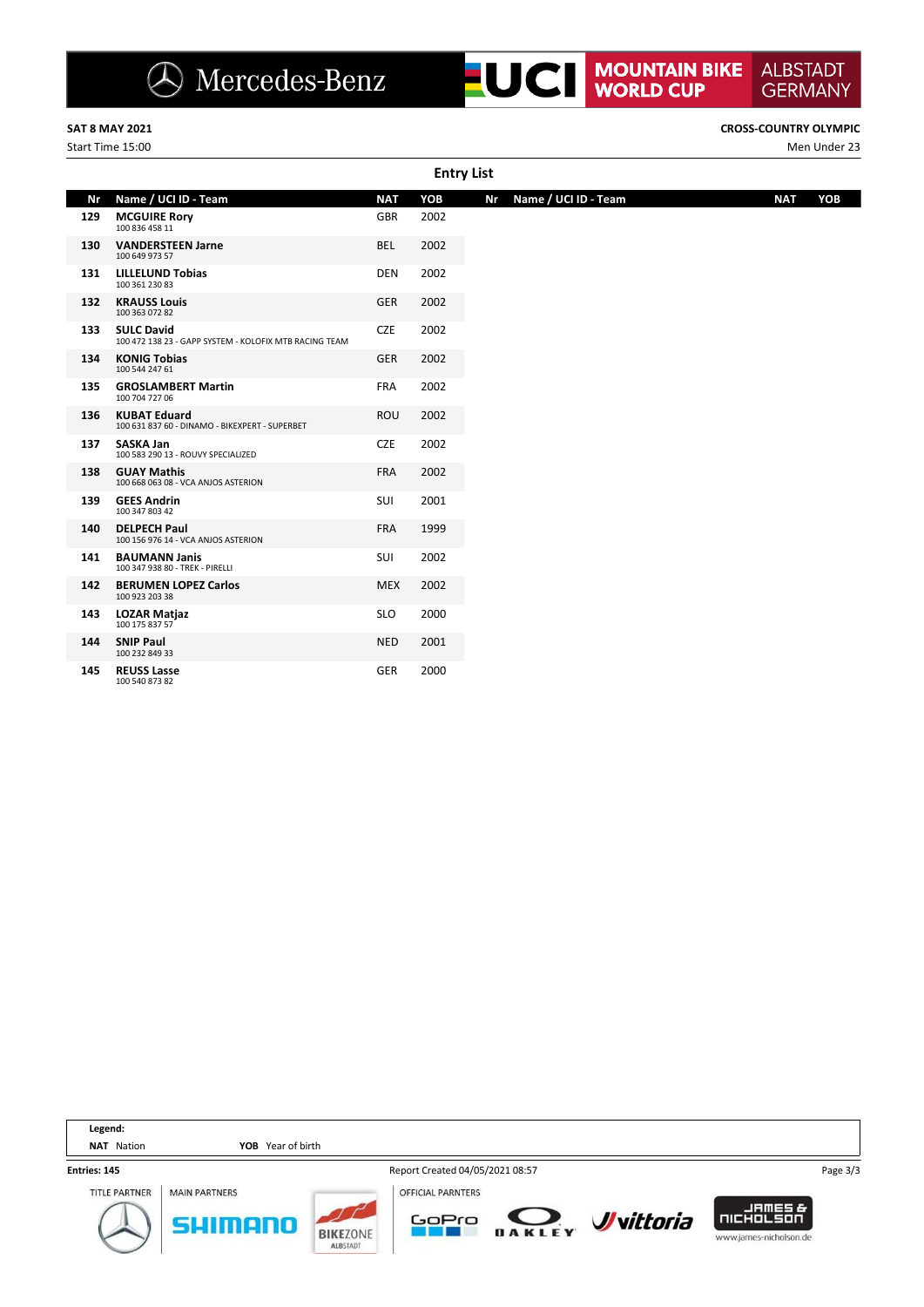

Start Time 15:00 Men Under 23

**ALBSTADT** 

|     | <b>Entry List</b>                                                           |            |      |                            |                   |  |  |  |  |  |  |  |  |
|-----|-----------------------------------------------------------------------------|------------|------|----------------------------|-------------------|--|--|--|--|--|--|--|--|
| Nr  | Name / UCI ID - Team                                                        | <b>NAT</b> | YOB  | Nr<br>Name / UCI ID - Team | YOB<br><b>NAT</b> |  |  |  |  |  |  |  |  |
| 129 | <b>MCGUIRE Rory</b><br>100 836 458 11                                       | <b>GBR</b> | 2002 |                            |                   |  |  |  |  |  |  |  |  |
| 130 | <b>VANDERSTEEN Jarne</b><br>100 649 973 57                                  | <b>BEL</b> | 2002 |                            |                   |  |  |  |  |  |  |  |  |
| 131 | <b>LILLELUND Tobias</b><br>100 361 230 83                                   | <b>DEN</b> | 2002 |                            |                   |  |  |  |  |  |  |  |  |
| 132 | <b>KRAUSS Louis</b><br>100 363 072 82                                       | <b>GER</b> | 2002 |                            |                   |  |  |  |  |  |  |  |  |
| 133 | <b>SULC David</b><br>100 472 138 23 - GAPP SYSTEM - KOLOFIX MTB RACING TEAM | <b>CZE</b> | 2002 |                            |                   |  |  |  |  |  |  |  |  |
| 134 | <b>KONIG Tobias</b><br>100 544 247 61                                       | <b>GER</b> | 2002 |                            |                   |  |  |  |  |  |  |  |  |
| 135 | <b>GROSLAMBERT Martin</b><br>100 704 727 06                                 | FRA        | 2002 |                            |                   |  |  |  |  |  |  |  |  |
| 136 | <b>KUBAT Eduard</b><br>100 631 837 60 - DINAMO - BIKEXPERT - SUPERBET       | ROU        | 2002 |                            |                   |  |  |  |  |  |  |  |  |
| 137 | <b>SASKA Jan</b><br>100 583 290 13 - ROUVY SPECIALIZED                      | <b>CZE</b> | 2002 |                            |                   |  |  |  |  |  |  |  |  |
| 138 | <b>GUAY Mathis</b><br>100 668 063 08 - VCA ANJOS ASTERION                   | <b>FRA</b> | 2002 |                            |                   |  |  |  |  |  |  |  |  |
| 139 | <b>GEES Andrin</b><br>100 347 803 42                                        | SUI        | 2001 |                            |                   |  |  |  |  |  |  |  |  |
| 140 | <b>DELPECH Paul</b><br>100 156 976 14 - VCA ANJOS ASTERION                  | <b>FRA</b> | 1999 |                            |                   |  |  |  |  |  |  |  |  |
| 141 | <b>BAUMANN Janis</b><br>100 347 938 80 - TREK - PIRELLI                     | SUI        | 2002 |                            |                   |  |  |  |  |  |  |  |  |
| 142 | <b>BERUMEN LOPEZ Carlos</b><br>100 923 203 38                               | <b>MEX</b> | 2002 |                            |                   |  |  |  |  |  |  |  |  |
| 143 | <b>LOZAR Matjaz</b><br>100 175 837 57                                       | <b>SLO</b> | 2000 |                            |                   |  |  |  |  |  |  |  |  |
| 144 | <b>SNIP Paul</b><br>100 232 849 33                                          | <b>NED</b> | 2001 |                            |                   |  |  |  |  |  |  |  |  |
| 145 | <b>REUSS Lasse</b><br>100 540 873 82                                        | GER        | 2000 |                            |                   |  |  |  |  |  |  |  |  |

| Legend:              |                                 |                                    |                                   |        |                          |                                                                 |          |
|----------------------|---------------------------------|------------------------------------|-----------------------------------|--------|--------------------------|-----------------------------------------------------------------|----------|
| Nation<br><b>NAT</b> | YOB Year of birth               |                                    |                                   |        |                          |                                                                 |          |
| Entries: 145         |                                 |                                    | Report Created 04/05/2021 08:57   |        |                          |                                                                 | Page 3/3 |
| <b>TITLE PARTNER</b> | <b>MAIN PARTNERS</b><br>surmano | <b>BIKEZONE</b><br><b>ALBSTADT</b> | <b>OFFICIAL PARNTERS</b><br>GoPro | DAKLEY | <b><i>J</i></b> vittoria | <b>JAMES&amp;</b><br><b>INCHOLSON</b><br>www.james-nicholson.de |          |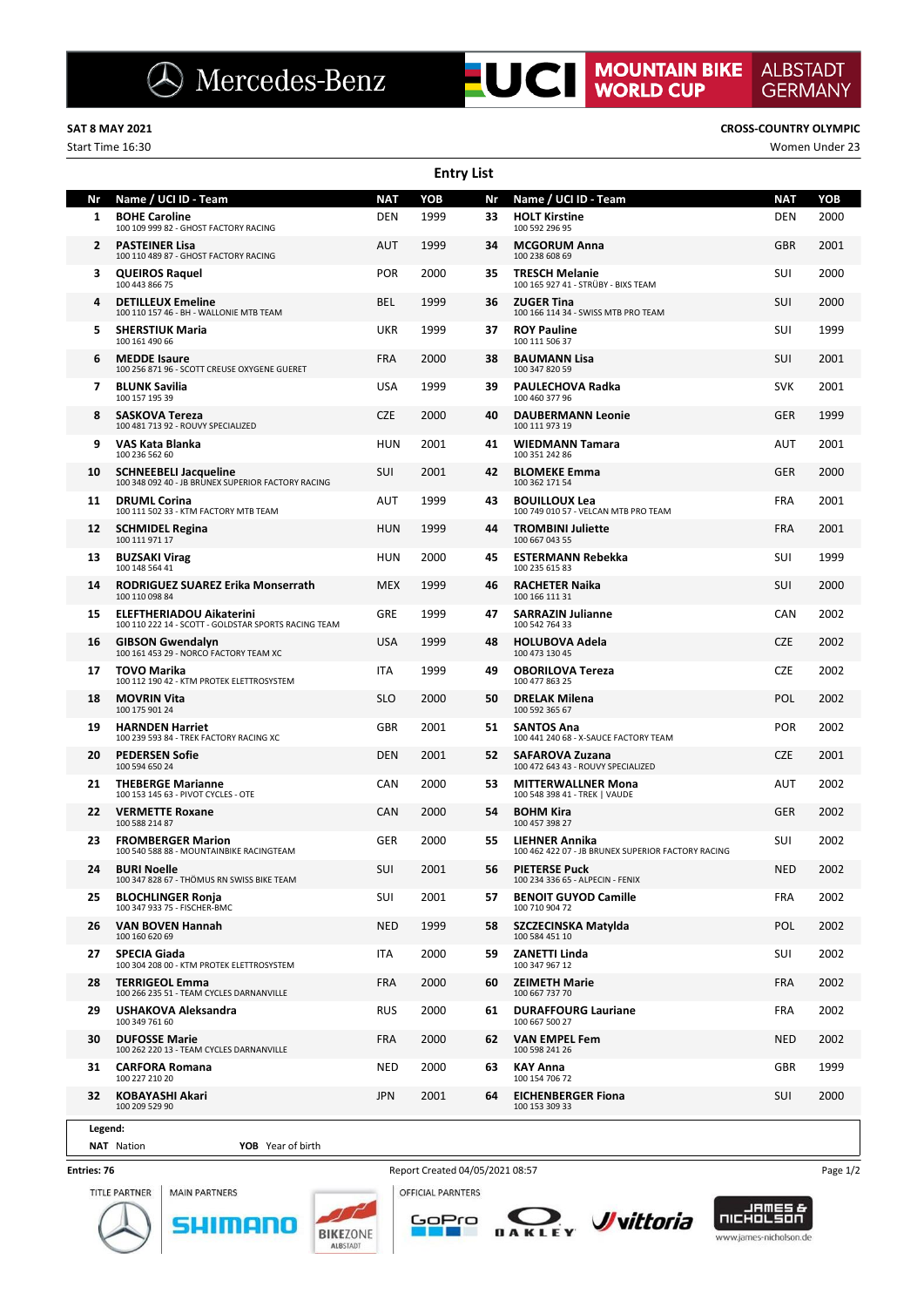|    | <b>Entry List</b>                                                                       |            |      |     |                                                                             |            |      |  |  |  |  |  |  |
|----|-----------------------------------------------------------------------------------------|------------|------|-----|-----------------------------------------------------------------------------|------------|------|--|--|--|--|--|--|
| Nr | Name / UCI ID - Team                                                                    | <b>NAT</b> | YOB  | Nr  | Name / UCI ID - Team                                                        | <b>NAT</b> | YOB  |  |  |  |  |  |  |
| 1  | <b>BOHE Caroline</b><br>100 109 999 82 - GHOST FACTORY RACING                           | DEN        | 1999 | 33  | <b>HOLT Kirstine</b><br>100 592 296 95                                      | <b>DEN</b> | 2000 |  |  |  |  |  |  |
| 2  | <b>PASTEINER Lisa</b><br>100 110 489 87 - GHOST FACTORY RACING                          | AUT        | 1999 | 34  | <b>MCGORUM Anna</b><br>100 238 608 69                                       | <b>GBR</b> | 2001 |  |  |  |  |  |  |
| 3  | <b>QUEIROS Raquel</b><br>100 443 866 75                                                 | <b>POR</b> | 2000 | 35  | <b>TRESCH Melanie</b><br>100 165 927 41 - STRÜBY - BIXS TEAM                | <b>SUI</b> | 2000 |  |  |  |  |  |  |
| 4  | <b>DETILLEUX Emeline</b><br>100 110 157 46 - BH - WALLONIE MTB TEAM                     | <b>BEL</b> | 1999 | 36  | <b>ZUGER Tina</b><br>100 166 114 34 - SWISS MTB PRO TEAM                    | <b>SUI</b> | 2000 |  |  |  |  |  |  |
| 5  | <b>SHERSTIUK Maria</b><br>100 161 490 66                                                | UKR        | 1999 | 37  | <b>ROY Pauline</b><br>100 111 506 37                                        | SUI        | 1999 |  |  |  |  |  |  |
| 6  | <b>MEDDE Isaure</b><br>100 256 871 96 - SCOTT CREUSE OXYGENE GUERET                     | <b>FRA</b> | 2000 | 38  | <b>BAUMANN Lisa</b><br>100 347 820 59                                       | SUI        | 2001 |  |  |  |  |  |  |
| 7  | <b>BLUNK Savilia</b><br>100 157 195 39                                                  | USA        | 1999 | 39  | PAULECHOVA Radka<br>100 460 377 96                                          | <b>SVK</b> | 2001 |  |  |  |  |  |  |
| 8  | <b>SASKOVA Tereza</b><br>100 481 713 92 - ROUVY SPECIALIZED                             | <b>CZE</b> | 2000 | 40  | <b>DAUBERMANN Leonie</b><br>100 111 973 19                                  | GER        | 1999 |  |  |  |  |  |  |
| 9  | VAS Kata Blanka<br>100 236 562 60                                                       | HUN        | 2001 | 41  | <b>WIEDMANN Tamara</b><br>100 351 242 86                                    | AUT        | 2001 |  |  |  |  |  |  |
| 10 | <b>SCHNEEBELI Jacqueline</b><br>100 348 092 40 - JB BRUNEX SUPERIOR FACTORY RACING      | SUI        | 2001 | 42  | <b>BLOMEKE Emma</b><br>100 362 171 54                                       | GER        | 2000 |  |  |  |  |  |  |
| 11 | <b>DRUML Corina</b><br>100 111 502 33 - KTM FACTORY MTB TEAM                            | AUT        | 1999 | 43  | <b>BOUILLOUX Lea</b><br>100 749 010 57 - VELCAN MTB PRO TEAM                | <b>FRA</b> | 2001 |  |  |  |  |  |  |
| 12 | <b>SCHMIDEL Regina</b><br>100 111 971 17                                                | HUN        | 1999 | 44  | <b>TROMBINI Juliette</b><br>100 667 043 55                                  | <b>FRA</b> | 2001 |  |  |  |  |  |  |
| 13 | <b>BUZSAKI Virag</b><br>100 148 564 41                                                  | HUN        | 2000 | 45  | <b>ESTERMANN Rebekka</b><br>100 235 615 83                                  | SUI        | 1999 |  |  |  |  |  |  |
| 14 | RODRIGUEZ SUAREZ Erika Monserrath<br>100 110 098 84                                     | <b>MEX</b> | 1999 | 46  | <b>RACHETER Naika</b><br>100 166 111 31                                     | <b>SUI</b> | 2000 |  |  |  |  |  |  |
| 15 | <b>ELEFTHERIADOU Aikaterini</b><br>100 110 222 14 - SCOTT - GOLDSTAR SPORTS RACING TEAM | GRE        | 1999 | 47  | <b>SARRAZIN Julianne</b><br>100 542 764 33                                  | <b>CAN</b> | 2002 |  |  |  |  |  |  |
| 16 | <b>GIBSON Gwendalyn</b><br>100 161 453 29 - NORCO FACTORY TEAM XC                       | <b>USA</b> | 1999 | 48  | <b>HOLUBOVA Adela</b><br>100 473 130 45                                     | <b>CZE</b> | 2002 |  |  |  |  |  |  |
| 17 | TOVO Marika<br>100 112 190 42 - KTM PROTEK ELETTROSYSTEM                                | <b>ITA</b> | 1999 | 49  | <b>OBORILOVA Tereza</b><br>100 477 863 25                                   | <b>CZE</b> | 2002 |  |  |  |  |  |  |
| 18 | <b>MOVRIN Vita</b><br>100 175 901 24                                                    | <b>SLO</b> | 2000 | 50  | <b>DRELAK Milena</b><br>100 592 365 67                                      | POL        | 2002 |  |  |  |  |  |  |
| 19 | <b>HARNDEN Harriet</b><br>100 239 593 84 - TREK FACTORY RACING XC                       | GBR        | 2001 | 51  | <b>SANTOS Ana</b><br>100 441 240 68 - X-SAUCE FACTORY TEAM                  | <b>POR</b> | 2002 |  |  |  |  |  |  |
| 20 | <b>PEDERSEN Sofie</b><br>100 594 650 24                                                 | <b>DEN</b> | 2001 | 52  | <b>SAFAROVA Zuzana</b><br>100 472 643 43 - ROUVY SPECIALIZED                | <b>CZE</b> | 2001 |  |  |  |  |  |  |
| 21 | <b>THEBERGE Marianne</b><br>100 153 145 63 - PIVOT CYCLES - OTE                         | CAN        | 2000 | 53  | <b>MITTERWALLNER Mona</b><br>100 548 398 41 - TREK   VAUDE                  | AUT        | 2002 |  |  |  |  |  |  |
| 22 | <b>VERMETTE Roxane</b><br>100 588 214 87                                                | CAN        | 2000 | 54  | <b>BOHM Kira</b><br>100 457 398 27                                          | <b>GER</b> | 2002 |  |  |  |  |  |  |
| 23 | <b>FROMBERGER Marion</b><br>100 540 588 88 - MOUNTAINBIKE RACINGTEAM                    | GER        | 2000 | 55  | <b>LIEHNER Annika</b><br>100 462 422 07 - JB BRUNEX SUPERIOR FACTORY RACING | SUI        | 2002 |  |  |  |  |  |  |
| 24 | <b>BURI Noelle</b><br>100 347 828 67 - THÖMUS RN SWISS BIKE TEAM                        | SUI        | 2001 | 56  | <b>PIETERSE Puck</b><br>100 234 336 65 - ALPECIN - FENIX                    | <b>NED</b> | 2002 |  |  |  |  |  |  |
| 25 | <b>BLOCHLINGER Ronja</b><br>100 347 933 75 - FISCHER-BMC                                | SUI        | 2001 | 57  | <b>BENOIT GUYOD Camille</b><br>100 710 904 72                               | <b>FRA</b> | 2002 |  |  |  |  |  |  |
| 26 | VAN BOVEN Hannah<br>100 160 620 69                                                      | <b>NED</b> | 1999 | 58  | SZCZECINSKA Matylda<br>100 584 451 10                                       | POL        | 2002 |  |  |  |  |  |  |
| 27 | SPECIA Giada<br>100 304 208 00 - KTM PROTEK ELETTROSYSTEM                               | ITA        | 2000 | 59. | ZANETTI Linda<br>100 347 967 12                                             | <b>SUI</b> | 2002 |  |  |  |  |  |  |
| 28 | <b>TERRIGEOL Emma</b><br>100 266 235 51 - TEAM CYCLES DARNANVILLE                       | FRA        | 2000 | 60  | <b>ZEIMETH Marie</b><br>100 667 737 70                                      | <b>FRA</b> | 2002 |  |  |  |  |  |  |
| 29 | USHAKOVA Aleksandra<br>100 349 761 60                                                   | <b>RUS</b> | 2000 | 61  | <b>DURAFFOURG Lauriane</b><br>100 667 500 27                                | <b>FRA</b> | 2002 |  |  |  |  |  |  |
| 30 | <b>DUFOSSE Marie</b><br>100 262 220 13 - TEAM CYCLES DARNANVILLE                        | <b>FRA</b> | 2000 | 62  | VAN EMPEL Fem<br>100 598 241 26                                             | NED        | 2002 |  |  |  |  |  |  |
| 31 | <b>CARFORA Romana</b><br>100 227 210 20                                                 | <b>NED</b> | 2000 | 63. | <b>KAY Anna</b><br>100 154 706 72                                           | GBR        | 1999 |  |  |  |  |  |  |
| 32 | KOBAYASHI Akari<br>100 209 529 90                                                       | JPN        | 2001 | 64  | <b>EICHENBERGER Fiona</b><br>100 153 309 33                                 | <b>SUI</b> | 2000 |  |  |  |  |  |  |
|    |                                                                                         |            |      |     |                                                                             |            |      |  |  |  |  |  |  |

**Legend:**

**NAT** Nation **YOB** Year of birth

### **Entries: 76**







GoPro

**The State** 





**ALBSTADT** 

**GERMANY** 

Start Time 16:30 Women Under 23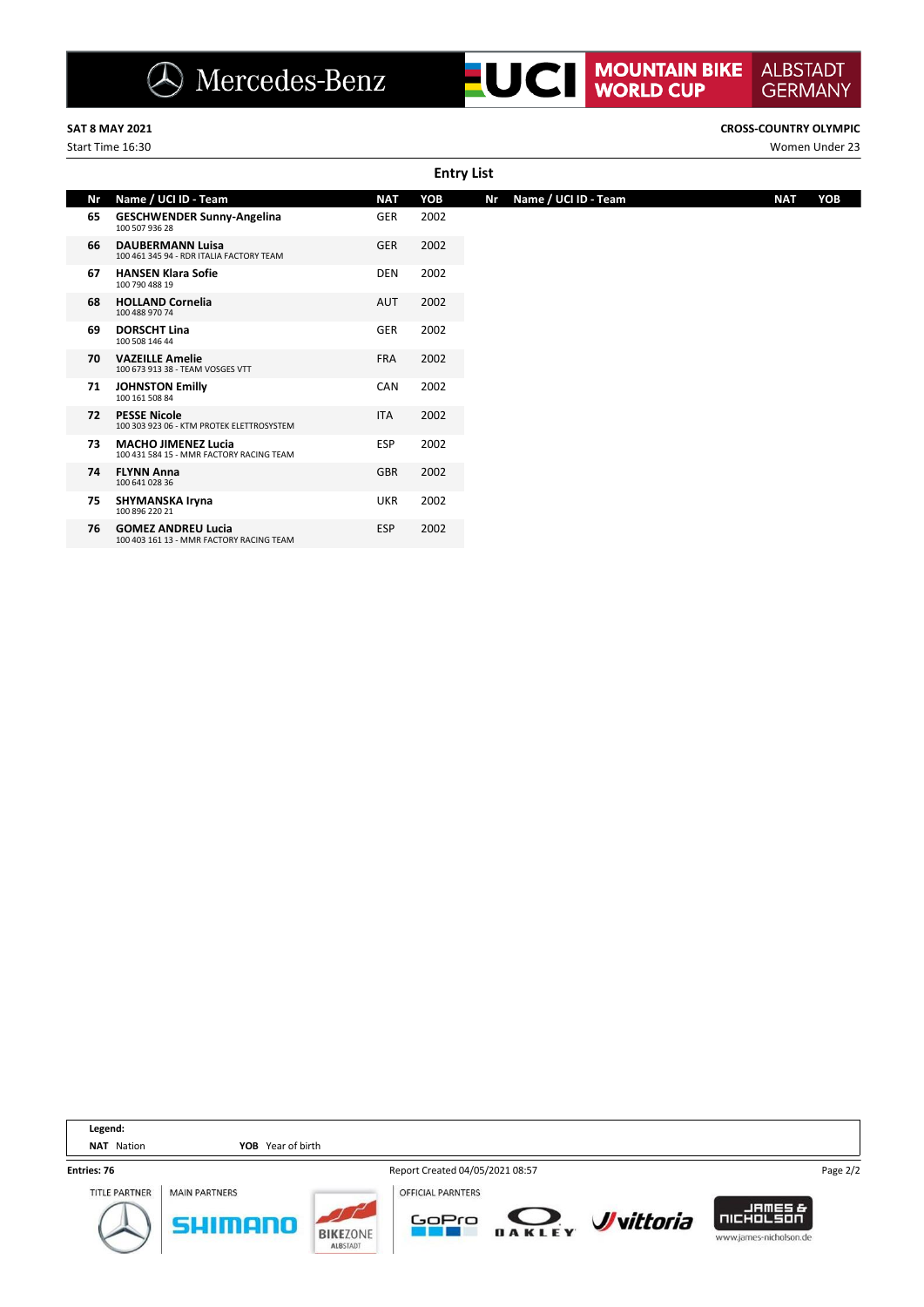**SAT 8 MAY 2021 CROSS-COUNTRY OLYMPIC**

**ALBSTADT** 

**GERMANY** 

Start Time 16:30 Women Under 23

|    | <b>Entry List</b>                                                      |            |      |                            |            |  |  |  |  |  |  |  |  |  |
|----|------------------------------------------------------------------------|------------|------|----------------------------|------------|--|--|--|--|--|--|--|--|--|
| Nr | Name / UCI ID - Team                                                   | <b>NAT</b> | YOB  | Name / UCI ID - Team<br>Nr | YOB<br>NAT |  |  |  |  |  |  |  |  |  |
| 65 | <b>GESCHWENDER Sunny-Angelina</b><br>100 507 936 28                    | GER        | 2002 |                            |            |  |  |  |  |  |  |  |  |  |
| 66 | <b>DAUBERMANN Luisa</b><br>100 461 345 94 - RDR ITALIA FACTORY TEAM    | GER        | 2002 |                            |            |  |  |  |  |  |  |  |  |  |
| 67 | <b>HANSEN Klara Sofie</b><br>100 790 488 19                            | <b>DEN</b> | 2002 |                            |            |  |  |  |  |  |  |  |  |  |
| 68 | <b>HOLLAND Cornelia</b><br>100 488 970 74                              | AUT        | 2002 |                            |            |  |  |  |  |  |  |  |  |  |
| 69 | <b>DORSCHT Lina</b><br>100 508 146 44                                  | GER        | 2002 |                            |            |  |  |  |  |  |  |  |  |  |
| 70 | <b>VAZEILLE Amelie</b><br>100 673 913 38 - TEAM VOSGES VTT             | <b>FRA</b> | 2002 |                            |            |  |  |  |  |  |  |  |  |  |
| 71 | <b>JOHNSTON Emilly</b><br>100 161 508 84                               | CAN        | 2002 |                            |            |  |  |  |  |  |  |  |  |  |
| 72 | <b>PESSE Nicole</b><br>100 303 923 06 - KTM PROTEK ELETTROSYSTEM       | <b>ITA</b> | 2002 |                            |            |  |  |  |  |  |  |  |  |  |
| 73 | <b>MACHO JIMENEZ Lucia</b><br>100 431 584 15 - MMR FACTORY RACING TEAM | <b>ESP</b> | 2002 |                            |            |  |  |  |  |  |  |  |  |  |
| 74 | <b>FLYNN Anna</b><br>100 641 028 36                                    | <b>GBR</b> | 2002 |                            |            |  |  |  |  |  |  |  |  |  |
| 75 | SHYMANSKA Iryna<br>100 896 220 21                                      | <b>UKR</b> | 2002 |                            |            |  |  |  |  |  |  |  |  |  |
| 76 | <b>GOMEZ ANDREU Lucia</b><br>100 403 161 13 - MMR FACTORY RACING TEAM  | <b>ESP</b> | 2002 |                            |            |  |  |  |  |  |  |  |  |  |
|    |                                                                        |            |      |                            |            |  |  |  |  |  |  |  |  |  |

| Legend:              |                      |                                    |                                   |        |                          |                                                                   |          |
|----------------------|----------------------|------------------------------------|-----------------------------------|--------|--------------------------|-------------------------------------------------------------------|----------|
| Nation<br>NAT        | YOB Year of birth    |                                    |                                   |        |                          |                                                                   |          |
| Entries: 76          |                      |                                    | Report Created 04/05/2021 08:57   |        |                          |                                                                   | Page 2/2 |
| <b>TITLE PARTNER</b> | <b>MAIN PARTNERS</b> | <b>BIKEZONE</b><br><b>ALBSTADT</b> | <b>OFFICIAL PARNTERS</b><br>GoPro | DAKLEY | <b><i>J</i></b> vittoria | <b>JAMES&amp;</b><br><b>I</b> NICHOLSON<br>www.james-nicholson.de |          |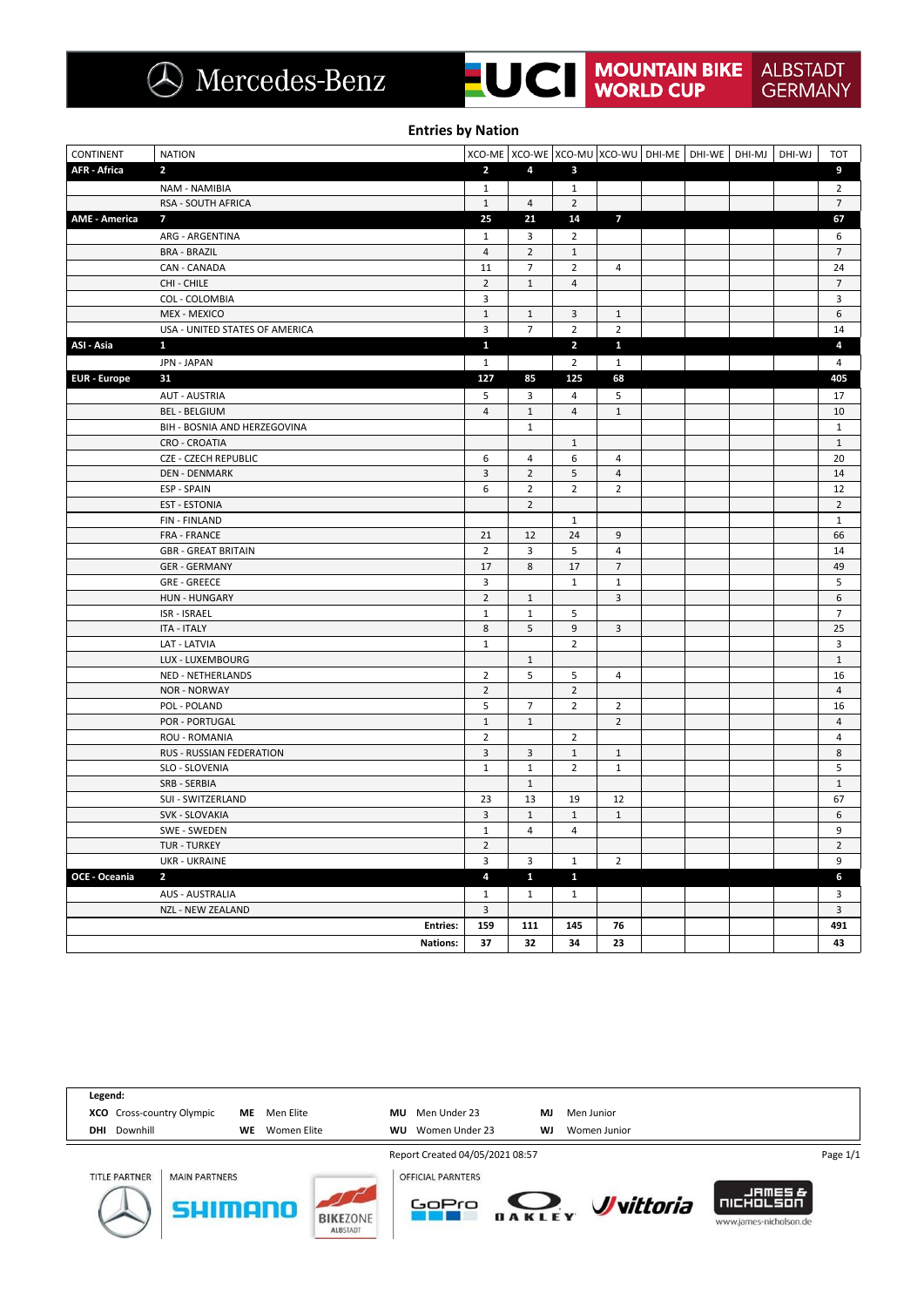**UCI** MOUNTAIN BIKE **ALBSTADT GERMANY** 

**Entries by Nation**

| <b>CONTINENT</b>     | <b>NATION</b>                  |                         | XCO-ME XCO-WE XCO-MU XCO-WU DHI-ME DHI-WE DHI-MJ DHI-WJ |                         |                         |  |  | <b>TOT</b>     |
|----------------------|--------------------------------|-------------------------|---------------------------------------------------------|-------------------------|-------------------------|--|--|----------------|
| <b>AFR - Africa</b>  | $\overline{2}$                 | $\overline{2}$          | $\overline{4}$                                          | $\mathbf{3}$            |                         |  |  | 9              |
|                      | NAM - NAMIBIA                  | $\mathbf{1}$            |                                                         | $\mathbf{1}$            |                         |  |  | $\overline{2}$ |
|                      | RSA - SOUTH AFRICA             | $\mathbf 1$             | $\overline{4}$                                          | $\overline{2}$          |                         |  |  | $\overline{7}$ |
| <b>AME - America</b> | $\overline{7}$                 | 25                      | 21                                                      | 14                      | $\overline{7}$          |  |  | 67             |
|                      | ARG - ARGENTINA                | $\mathbf{1}$            | 3                                                       | $\overline{2}$          |                         |  |  | 6              |
|                      | <b>BRA - BRAZIL</b>            | $\overline{\mathbf{4}}$ | $\overline{2}$                                          | $\mathbf 1$             |                         |  |  | $\overline{7}$ |
|                      | CAN - CANADA                   | $11\,$                  | $\overline{7}$                                          | $\overline{2}$          | $\overline{4}$          |  |  | 24             |
|                      | CHI - CHILE                    | $\overline{2}$          | $\mathbf{1}$                                            | $\overline{4}$          |                         |  |  | $\overline{7}$ |
|                      | COL - COLOMBIA                 | 3                       |                                                         |                         |                         |  |  | 3              |
|                      | <b>MEX - MEXICO</b>            | $1\,$                   | $\mathbf{1}$                                            | 3                       | $\mathbf{1}$            |  |  | 6              |
|                      | USA - UNITED STATES OF AMERICA | 3                       | $\overline{7}$                                          | $\overline{2}$          | $\overline{2}$          |  |  | 14             |
| ASI - Asia           | $\mathbf{1}$                   | $\mathbf{1}$            |                                                         | $\overline{\mathbf{z}}$ | $\mathbf{1}$            |  |  | 4              |
|                      | JPN - JAPAN                    | $\mathbf{1}$            |                                                         | $\overline{2}$          | $\mathbf{1}$            |  |  | 4              |
| <b>EUR</b> - Europe  | 31                             | 127                     | 85                                                      | 125                     | 68                      |  |  | 405            |
|                      | <b>AUT - AUSTRIA</b>           | 5                       | 3                                                       | $\overline{4}$          | 5                       |  |  | 17             |
|                      | <b>BEL - BELGIUM</b>           | $\overline{4}$          | $\mathbf{1}$                                            | $\overline{4}$          | $\mathbf 1$             |  |  | 10             |
|                      | BIH - BOSNIA AND HERZEGOVINA   |                         | $\mathbf{1}$                                            |                         |                         |  |  | $\mathbf{1}$   |
|                      | <b>CRO - CROATIA</b>           |                         |                                                         | $\mathbf{1}$            |                         |  |  | $\mathbf{1}$   |
|                      | <b>CZE - CZECH REPUBLIC</b>    | 6                       | $\overline{4}$                                          | 6                       | $\overline{4}$          |  |  | 20             |
|                      | <b>DEN - DENMARK</b>           | 3                       | $\overline{2}$                                          | 5                       | $\overline{4}$          |  |  | 14             |
|                      | ESP - SPAIN                    | 6                       | $\overline{2}$                                          | $\overline{2}$          | $\overline{2}$          |  |  | 12             |
|                      | <b>EST - ESTONIA</b>           |                         | $\overline{2}$                                          |                         |                         |  |  | $\overline{2}$ |
|                      | <b>FIN-FINLAND</b>             |                         |                                                         | $\mathbf{1}$            |                         |  |  | $\mathbf{1}$   |
|                      | FRA - FRANCE                   | 21                      | 12                                                      | 24                      | 9                       |  |  | 66             |
|                      | <b>GBR - GREAT BRITAIN</b>     | $\overline{2}$          | 3                                                       | 5                       | $\overline{4}$          |  |  | 14             |
|                      | <b>GER - GERMANY</b>           | 17                      | $\bf 8$                                                 | 17                      | $\overline{7}$          |  |  | 49             |
|                      | <b>GRE - GREECE</b>            | 3                       |                                                         | $\mathbf 1$             | $\mathbf{1}$            |  |  | 5              |
|                      | <b>HUN - HUNGARY</b>           | $\overline{2}$          | $\mathbf{1}$                                            |                         | $\overline{\mathbf{3}}$ |  |  | 6              |
|                      | ISR - ISRAEL                   | $\mathbf{1}$            | $\mathbf 1$                                             | 5                       |                         |  |  | $\overline{7}$ |
|                      | <b>ITA - ITALY</b>             | 8                       | 5                                                       | 9                       | 3                       |  |  | 25             |
|                      | LAT - LATVIA                   | $\mathbf 1$             |                                                         | $\overline{2}$          |                         |  |  | 3              |
|                      | LUX - LUXEMBOURG               |                         | $\mathbf{1}$                                            |                         |                         |  |  | $\mathbf{1}$   |
|                      | <b>NED - NETHERLANDS</b>       | $\mathbf 2$             | 5                                                       | 5                       | $\overline{4}$          |  |  | 16             |
|                      | <b>NOR - NORWAY</b>            | $\overline{2}$          |                                                         | $\overline{2}$          |                         |  |  | $\overline{4}$ |
|                      | POL - POLAND                   | 5                       | $\overline{7}$                                          | $\overline{2}$          | $\overline{2}$          |  |  | 16             |
|                      | POR - PORTUGAL                 | $\mathbf 1$             | $\mathbf 1$                                             |                         | $\overline{2}$          |  |  | $\overline{4}$ |
|                      | <b>ROU - ROMANIA</b>           | $\overline{2}$          |                                                         | $\overline{2}$          |                         |  |  | 4              |
|                      | RUS - RUSSIAN FEDERATION       | $\overline{3}$          | 3                                                       | $\mathbf 1$             | $\mathbf 1$             |  |  | 8              |
|                      | SLO - SLOVENIA                 | $\mathbf 1$             | $\mathbf 1$                                             | $\overline{2}$          | $\mathbf{1}$            |  |  | 5              |
|                      | SRB - SERBIA                   |                         | $\,1\,$                                                 |                         |                         |  |  | $\,1\,$        |
|                      | SUI - SWITZERLAND              | 23                      | 13                                                      | 19                      | 12                      |  |  | 67             |
|                      | SVK - SLOVAKIA                 | $\mathsf 3$             | $\,1\,$                                                 | $\mathbf 1$             | $\mathbf 1$             |  |  | 6              |
|                      | SWE - SWEDEN                   | $\mathbf{1}$            | $\overline{4}$                                          | 4                       |                         |  |  | 9              |
|                      | TUR - TURKEY                   | $\mathbf 2$             |                                                         |                         |                         |  |  | $\overline{2}$ |
|                      | <b>UKR - UKRAINE</b>           | 3                       | 3                                                       | $\mathbf{1}$            | $\overline{2}$          |  |  | 9              |
| OCE - Oceania        | $\overline{2}$                 | 4                       | $\mathbf{1}$                                            | $\mathbf{1}$            |                         |  |  | 6              |
|                      | <b>AUS - AUSTRALIA</b>         | $\mathbf 1$             | $\mathbf{1}$                                            | $\mathbf{1}$            |                         |  |  | 3              |
|                      | NZL - NEW ZEALAND              | 3                       |                                                         |                         |                         |  |  | $\mathbf{3}$   |
|                      | <b>Entries:</b>                | 159                     | 111                                                     | 145                     | 76                      |  |  | 491            |
|                      | <b>Nations:</b>                | 37                      | 32                                                      | 34                      | 23                      |  |  | 43             |

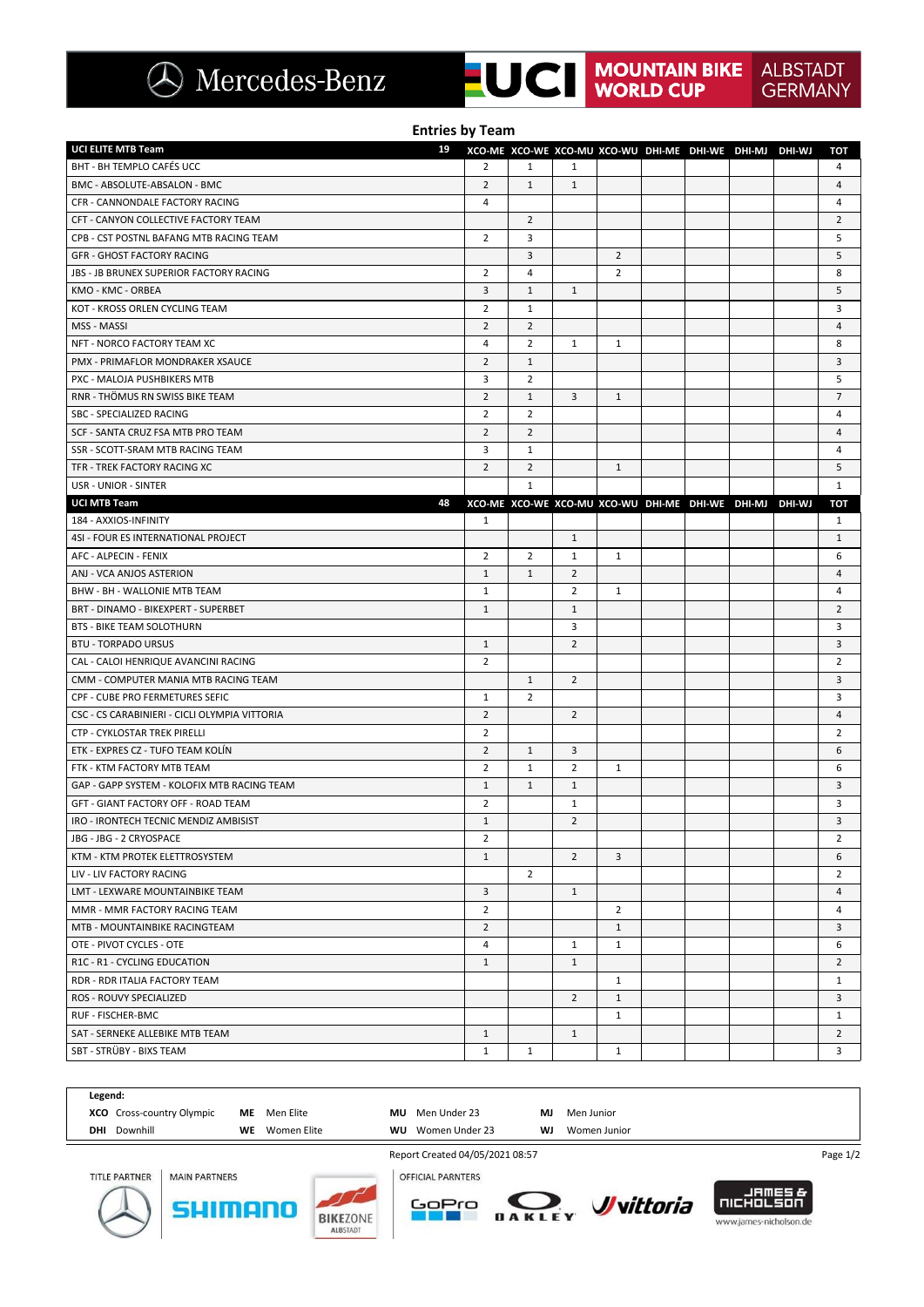| $\bigcirc$ Mercedes-Benz |  |
|--------------------------|--|
|                          |  |

| <b>Entries by Team</b>                                    |                |                                                         |                |                |  |  |  |  |                |
|-----------------------------------------------------------|----------------|---------------------------------------------------------|----------------|----------------|--|--|--|--|----------------|
| UCI ELITE MTB Team<br>19                                  |                | XCO-ME XCO-WE XCO-MU XCO-WU DHI-ME DHI-WE DHI-MJ DHI-WJ |                |                |  |  |  |  | TOT            |
| BHT - BH TEMPLO CAFÉS UCC                                 | $\overline{2}$ | $\mathbf{1}$                                            | $\mathbf{1}$   |                |  |  |  |  | 4              |
| BMC - ABSOLUTE-ABSALON - BMC                              | $\overline{2}$ | $\mathbf{1}$                                            | $\mathbf{1}$   |                |  |  |  |  | 4              |
| CFR - CANNONDALE FACTORY RACING                           | 4              |                                                         |                |                |  |  |  |  | 4              |
| CFT - CANYON COLLECTIVE FACTORY TEAM                      |                | $\overline{2}$                                          |                |                |  |  |  |  | $\overline{2}$ |
| CPB - CST POSTNL BAFANG MTB RACING TEAM                   | $\overline{2}$ | 3                                                       |                |                |  |  |  |  | 5              |
| <b>GFR - GHOST FACTORY RACING</b>                         |                | 3                                                       |                | $\overline{2}$ |  |  |  |  | 5              |
| JBS - JB BRUNEX SUPERIOR FACTORY RACING                   | 2              | $\overline{4}$                                          |                | $\overline{2}$ |  |  |  |  | 8              |
| KMO - KMC - ORBEA                                         | 3              | $\mathbf{1}$                                            | $\mathbf{1}$   |                |  |  |  |  | 5              |
| KOT - KROSS ORLEN CYCLING TEAM                            | 2              | $\mathbf{1}$                                            |                |                |  |  |  |  | 3              |
| MSS - MASSI                                               | $\overline{2}$ | $\overline{2}$                                          |                |                |  |  |  |  | 4              |
| NFT - NORCO FACTORY TEAM XC                               | 4              | 2                                                       | 1              | $\mathbf{1}$   |  |  |  |  | 8              |
| PMX - PRIMAFLOR MONDRAKER XSAUCE                          | $\overline{2}$ | $\mathbf{1}$                                            |                |                |  |  |  |  | 3              |
| PXC - MALOJA PUSHBIKERS MTB                               | 3              | $\overline{2}$                                          |                |                |  |  |  |  | 5              |
| RNR - THÖMUS RN SWISS BIKE TEAM                           | $\overline{2}$ | $\mathbf{1}$                                            | 3              | $\mathbf{1}$   |  |  |  |  | 7              |
| SBC - SPECIALIZED RACING                                  | 2              | 2                                                       |                |                |  |  |  |  | 4              |
| SCF - SANTA CRUZ FSA MTB PRO TEAM                         | $\overline{2}$ | $\overline{2}$                                          |                |                |  |  |  |  | 4              |
| SSR - SCOTT-SRAM MTB RACING TEAM                          | 3              | $\mathbf{1}$                                            |                |                |  |  |  |  | 4              |
| TFR - TREK FACTORY RACING XC                              | $\overline{2}$ | $\overline{2}$                                          |                | $\mathbf{1}$   |  |  |  |  | 5              |
| USR - UNIOR - SINTER                                      |                | $\mathbf{1}$                                            |                |                |  |  |  |  | $\mathbf{1}$   |
| <b>UCI MTB Team</b><br>48                                 |                | XCO-ME XCO-WE XCO-MU XCO-WU DHI-ME DHI-WE DHI-MJ DHI-WJ |                |                |  |  |  |  | TOT            |
| 184 - AXXIOS-INFINITY                                     | $\mathbf{1}$   |                                                         |                |                |  |  |  |  | $\mathbf{1}$   |
| 4SI - FOUR ES INTERNATIONAL PROJECT                       |                |                                                         | $\mathbf{1}$   |                |  |  |  |  | $\mathbf{1}$   |
| AFC - ALPECIN - FENIX                                     | 2              | 2                                                       | $\mathbf{1}$   | $\mathbf{1}$   |  |  |  |  | 6              |
| ANJ - VCA ANJOS ASTERION                                  | $\mathbf{1}$   | $\mathbf{1}$                                            | $\overline{2}$ |                |  |  |  |  | 4              |
| BHW - BH - WALLONIE MTB TEAM                              | $\mathbf{1}$   |                                                         | $\overline{2}$ | $\mathbf{1}$   |  |  |  |  | 4              |
| BRT - DINAMO - BIKEXPERT - SUPERBET                       | 1              |                                                         | $\mathbf{1}$   |                |  |  |  |  | $\overline{2}$ |
| <b>BTS - BIKE TEAM SOLOTHURN</b>                          |                |                                                         | 3              |                |  |  |  |  | 3              |
| <b>BTU - TORPADO URSUS</b>                                | $\mathbf{1}$   |                                                         | $\overline{2}$ |                |  |  |  |  | 3              |
| CAL - CALOI HENRIQUE AVANCINI RACING                      | 2              |                                                         |                |                |  |  |  |  | $\overline{2}$ |
| CMM - COMPUTER MANIA MTB RACING TEAM                      |                | $\mathbf{1}$                                            | $\overline{2}$ |                |  |  |  |  | 3              |
| CPF - CUBE PRO FERMETURES SEFIC                           | 1              | 2                                                       |                |                |  |  |  |  | 3              |
| CSC - CS CARABINIERI - CICLI OLYMPIA VITTORIA             | $\overline{2}$ |                                                         | 2              |                |  |  |  |  | 4              |
| CTP - CYKLOSTAR TREK PIRELLI                              | $\overline{2}$ |                                                         |                |                |  |  |  |  | $\overline{2}$ |
| ETK - EXPRES CZ - TUFO TEAM KOLÍN                         | $\overline{2}$ | $\mathbf{1}$                                            | 3              |                |  |  |  |  | 6              |
| FTK - KTM FACTORY MTB TEAM                                | 2              | $\mathbf{1}$                                            | $\overline{2}$ | $\mathbf{1}$   |  |  |  |  | 6              |
| GAP - GAPP SYSTEM - KOLOFIX MTB RACING TEAM               | 1              | $\mathbf{1}$                                            | $\mathbf{1}$   |                |  |  |  |  | 3              |
| GFT - GIANT FACTORY OFF - ROAD TEAM                       | 2              |                                                         | $\mathbf{1}$   |                |  |  |  |  | 3              |
| IRO - IRONTECH TECNIC MENDIZ AMBISIST                     | 1              |                                                         | $\overline{2}$ |                |  |  |  |  | 3              |
|                                                           | 2              |                                                         |                |                |  |  |  |  | $\overline{2}$ |
| JBG - JBG - 2 CRYOSPACE<br>KTM - KTM PROTEK ELETTROSYSTEM | $\mathbf{1}$   |                                                         | $\overline{2}$ | 3              |  |  |  |  | 6              |
|                                                           |                | $\overline{2}$                                          |                |                |  |  |  |  | $\overline{2}$ |
| LIV - LIV FACTORY RACING                                  |                |                                                         |                |                |  |  |  |  |                |
| LMT - LEXWARE MOUNTAINBIKE TEAM                           | 3              |                                                         | $\mathbf{1}$   |                |  |  |  |  | 4              |
| MMR - MMR FACTORY RACING TEAM                             | 2              |                                                         |                | $\overline{2}$ |  |  |  |  | 4              |
| MTB - MOUNTAINBIKE RACINGTEAM                             | $\overline{2}$ |                                                         |                | $\mathbf{1}$   |  |  |  |  | 3              |
| OTE - PIVOT CYCLES - OTE                                  | 4              |                                                         | $\mathbf{1}$   | $\mathbf{1}$   |  |  |  |  | 6              |
| R1C - R1 - CYCLING EDUCATION                              | 1              |                                                         | $\mathbf{1}$   |                |  |  |  |  | $\overline{2}$ |
| RDR - RDR ITALIA FACTORY TEAM                             |                |                                                         |                | $\mathbf{1}$   |  |  |  |  | $\mathbf{1}$   |
| ROS - ROUVY SPECIALIZED                                   |                |                                                         | $\overline{2}$ | 1              |  |  |  |  | 3              |
| RUF - FISCHER-BMC                                         |                |                                                         |                | $\mathbf{1}$   |  |  |  |  | $\mathbf{1}$   |
| SAT - SERNEKE ALLEBIKE MTB TEAM                           | $\mathbf{1}$   |                                                         | $\mathbf{1}$   |                |  |  |  |  | $\overline{2}$ |
| SBT - STRÜBY - BIXS TEAM                                  | 1              | $\mathbf{1}$                                            |                | $\mathbf{1}$   |  |  |  |  | 3              |



**ALBSTADT**